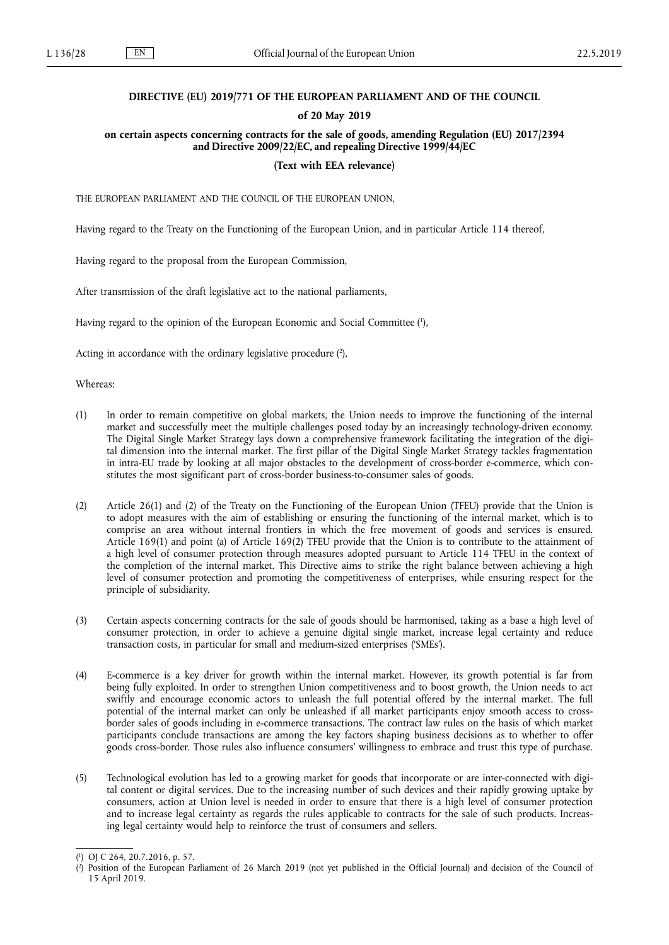# **DIRECTIVE (EU) 2019/771 OF THE EUROPEAN PARLIAMENT AND OF THE COUNCIL**

# **of 20 May 2019**

# **on certain aspects concerning contracts for the sale of goods, amending Regulation (EU) 2017/2394 and Directive 2009/22/EC, and repealing Directive 1999/44/EC**

# **(Text with EEA relevance)**

THE EUROPEAN PARLIAMENT AND THE COUNCIL OF THE EUROPEAN UNION,

Having regard to the Treaty on the Functioning of the European Union, and in particular Article 114 thereof,

Having regard to the proposal from the European Commission,

After transmission of the draft legislative act to the national parliaments,

Having regard to the opinion of the European Economic and Social Committee (1),

Acting in accordance with the ordinary legislative procedure (2),

Whereas:

- (1) In order to remain competitive on global markets, the Union needs to improve the functioning of the internal market and successfully meet the multiple challenges posed today by an increasingly technology-driven economy. The Digital Single Market Strategy lays down a comprehensive framework facilitating the integration of the digital dimension into the internal market. The first pillar of the Digital Single Market Strategy tackles fragmentation in intra-EU trade by looking at all major obstacles to the development of cross-border e-commerce, which constitutes the most significant part of cross-border business-to-consumer sales of goods.
- (2) Article 26(1) and (2) of the Treaty on the Functioning of the European Union (TFEU) provide that the Union is to adopt measures with the aim of establishing or ensuring the functioning of the internal market, which is to comprise an area without internal frontiers in which the free movement of goods and services is ensured. Article 169(1) and point (a) of Article 169(2) TFEU provide that the Union is to contribute to the attainment of a high level of consumer protection through measures adopted pursuant to Article 114 TFEU in the context of the completion of the internal market. Τhis Directive aims to strike the right balance between achieving a high level of consumer protection and promoting the competitiveness of enterprises, while ensuring respect for the principle of subsidiarity.
- (3) Certain aspects concerning contracts for the sale of goods should be harmonised, taking as a base a high level of consumer protection, in order to achieve a genuine digital single market, increase legal certainty and reduce transaction costs, in particular for small and medium-sized enterprises ('SMEs').
- (4) E-commerce is a key driver for growth within the internal market. However, its growth potential is far from being fully exploited. In order to strengthen Union competitiveness and to boost growth, the Union needs to act swiftly and encourage economic actors to unleash the full potential offered by the internal market. The full potential of the internal market can only be unleashed if all market participants enjoy smooth access to crossborder sales of goods including in e-commerce transactions. The contract law rules on the basis of which market participants conclude transactions are among the key factors shaping business decisions as to whether to offer goods cross-border. Those rules also influence consumers' willingness to embrace and trust this type of purchase.
- (5) Technological evolution has led to a growing market for goods that incorporate or are inter-connected with digital content or digital services. Due to the increasing number of such devices and their rapidly growing uptake by consumers, action at Union level is needed in order to ensure that there is a high level of consumer protection and to increase legal certainty as regards the rules applicable to contracts for the sale of such products. Increasing legal certainty would help to reinforce the trust of consumers and sellers.

<sup>(</sup> 1 ) OJ C 264, 20.7.2016, p. 57.

<sup>(</sup> 2 ) Position of the European Parliament of 26 March 2019 (not yet published in the Official Journal) and decision of the Council of 15 April 2019.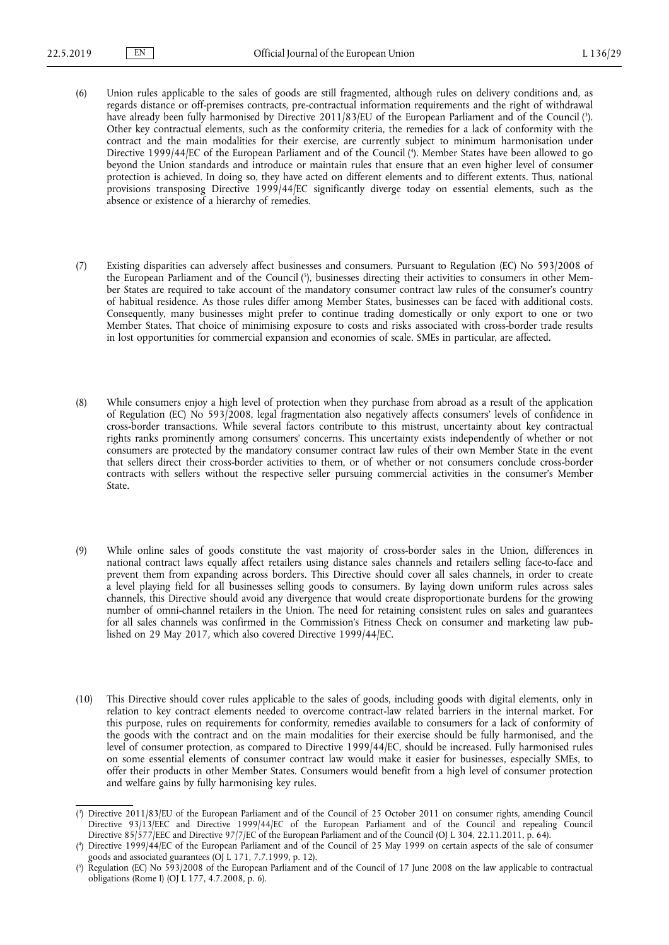- (6) Union rules applicable to the sales of goods are still fragmented, although rules on delivery conditions and, as regards distance or off-premises contracts, pre-contractual information requirements and the right of withdrawal have already been fully harmonised by Directive 2011/83/EU of the European Parliament and of the Council ( 3 ). Other key contractual elements, such as the conformity criteria, the remedies for a lack of conformity with the contract and the main modalities for their exercise, are currently subject to minimum harmonisation under Directive 1999/44/EC of the European Parliament and of the Council ( 4 ). Member States have been allowed to go beyond the Union standards and introduce or maintain rules that ensure that an even higher level of consumer protection is achieved. In doing so, they have acted on different elements and to different extents. Thus, national provisions transposing Directive 1999/44/EC significantly diverge today on essential elements, such as the absence or existence of a hierarchy of remedies.
- (7) Existing disparities can adversely affect businesses and consumers. Pursuant to Regulation (EC) No 593/2008 of the European Parliament and of the Council ( 5 ), businesses directing their activities to consumers in other Member States are required to take account of the mandatory consumer contract law rules of the consumer's country of habitual residence. As those rules differ among Member States, businesses can be faced with additional costs. Consequently, many businesses might prefer to continue trading domestically or only export to one or two Member States. That choice of minimising exposure to costs and risks associated with cross-border trade results in lost opportunities for commercial expansion and economies of scale. SMEs in particular, are affected.
- (8) While consumers enjoy a high level of protection when they purchase from abroad as a result of the application of Regulation (EC) No 593/2008, legal fragmentation also negatively affects consumers' levels of confidence in cross-border transactions. While several factors contribute to this mistrust, uncertainty about key contractual rights ranks prominently among consumers' concerns. This uncertainty exists independently of whether or not consumers are protected by the mandatory consumer contract law rules of their own Member State in the event that sellers direct their cross-border activities to them, or of whether or not consumers conclude cross-border contracts with sellers without the respective seller pursuing commercial activities in the consumer's Member State.
- (9) While online sales of goods constitute the vast majority of cross-border sales in the Union, differences in national contract laws equally affect retailers using distance sales channels and retailers selling face-to-face and prevent them from expanding across borders. This Directive should cover all sales channels, in order to create a level playing field for all businesses selling goods to consumers. By laying down uniform rules across sales channels, this Directive should avoid any divergence that would create disproportionate burdens for the growing number of omni-channel retailers in the Union. The need for retaining consistent rules on sales and guarantees for all sales channels was confirmed in the Commission's Fitness Check on consumer and marketing law published on 29 May 2017, which also covered Directive 1999/44/EC.
- (10) This Directive should cover rules applicable to the sales of goods, including goods with digital elements, only in relation to key contract elements needed to overcome contract-law related barriers in the internal market. For this purpose, rules on requirements for conformity, remedies available to consumers for a lack of conformity of the goods with the contract and on the main modalities for their exercise should be fully harmonised, and the level of consumer protection, as compared to Directive 1999/44/EC, should be increased. Fully harmonised rules on some essential elements of consumer contract law would make it easier for businesses, especially SMEs, to offer their products in other Member States. Consumers would benefit from a high level of consumer protection and welfare gains by fully harmonising key rules.

<sup>(</sup> 3 ) Directive 2011/83/EU of the European Parliament and of the Council of 25 October 2011 on consumer rights, amending Council Directive 93/13/EEC and Directive 1999/44/EC of the European Parliament and of the Council and repealing Council Directive 85/577/EEC and Directive 97/7/EC of the European Parliament and of the Council (OJ L 304, 22.11.2011, p. 64).

<sup>(</sup> 4 ) Directive 1999/44/EC of the European Parliament and of the Council of 25 May 1999 on certain aspects of the sale of consumer goods and associated guarantees (OJ L 171, 7.7.1999, p. 12).

<sup>(</sup> 5 ) Regulation (EC) No 593/2008 of the European Parliament and of the Council of 17 June 2008 on the law applicable to contractual obligations (Rome I) (OJ L 177, 4.7.2008, p. 6).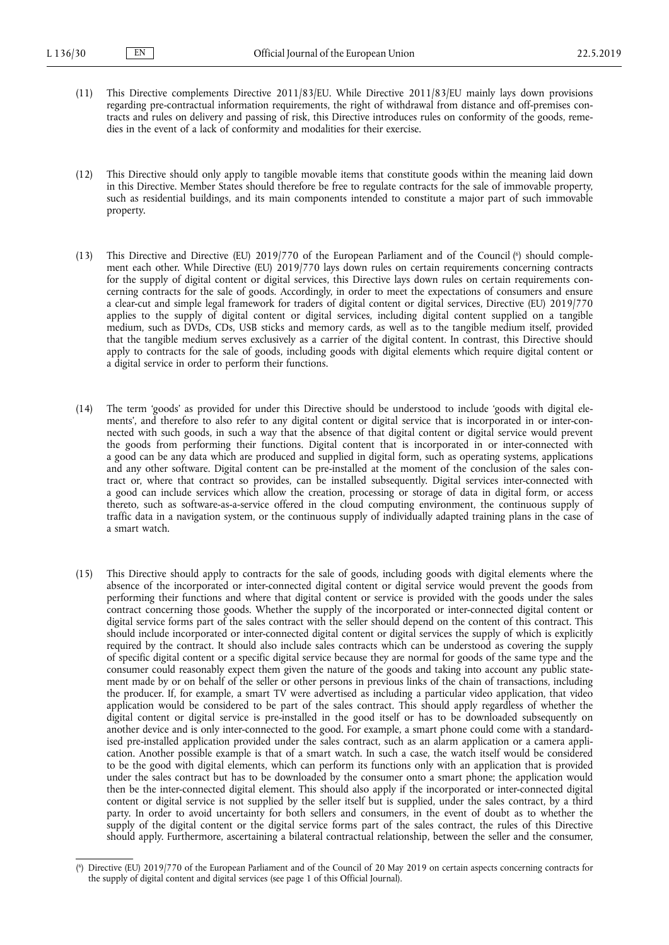- (11) This Directive complements Directive 2011/83/EU. While Directive 2011/83/EU mainly lays down provisions regarding pre-contractual information requirements, the right of withdrawal from distance and off-premises contracts and rules on delivery and passing of risk, this Directive introduces rules on conformity of the goods, remedies in the event of a lack of conformity and modalities for their exercise.
- (12) This Directive should only apply to tangible movable items that constitute goods within the meaning laid down in this Directive. Member States should therefore be free to regulate contracts for the sale of immovable property, such as residential buildings, and its main components intended to constitute a major part of such immovable property.
- (13) This Directive and Directive (EU) 2019/770 of the European Parliament and of the Council (<sup>6</sup>) should complement each other. While Directive (EU) 2019/770 lays down rules on certain requirements concerning contracts for the supply of digital content or digital services, this Directive lays down rules on certain requirements concerning contracts for the sale of goods. Accordingly, in order to meet the expectations of consumers and ensure a clear-cut and simple legal framework for traders of digital content or digital services, Directive (EU) 2019/770 applies to the supply of digital content or digital services, including digital content supplied on a tangible medium, such as DVDs, CDs, USB sticks and memory cards, as well as to the tangible medium itself, provided that the tangible medium serves exclusively as a carrier of the digital content. In contrast, this Directive should apply to contracts for the sale of goods, including goods with digital elements which require digital content or a digital service in order to perform their functions.
- (14) The term 'goods' as provided for under this Directive should be understood to include 'goods with digital elements', and therefore to also refer to any digital content or digital service that is incorporated in or inter-connected with such goods, in such a way that the absence of that digital content or digital service would prevent the goods from performing their functions. Digital content that is incorporated in or inter-connected with a good can be any data which are produced and supplied in digital form, such as operating systems, applications and any other software. Digital content can be pre-installed at the moment of the conclusion of the sales contract or, where that contract so provides, can be installed subsequently. Digital services inter-connected with a good can include services which allow the creation, processing or storage of data in digital form, or access thereto, such as software-as-a-service offered in the cloud computing environment, the continuous supply of traffic data in a navigation system, or the continuous supply of individually adapted training plans in the case of a smart watch.
- (15) This Directive should apply to contracts for the sale of goods, including goods with digital elements where the absence of the incorporated or inter-connected digital content or digital service would prevent the goods from performing their functions and where that digital content or service is provided with the goods under the sales contract concerning those goods. Whether the supply of the incorporated or inter-connected digital content or digital service forms part of the sales contract with the seller should depend on the content of this contract. This should include incorporated or inter-connected digital content or digital services the supply of which is explicitly required by the contract. It should also include sales contracts which can be understood as covering the supply of specific digital content or a specific digital service because they are normal for goods of the same type and the consumer could reasonably expect them given the nature of the goods and taking into account any public statement made by or on behalf of the seller or other persons in previous links of the chain of transactions, including the producer. If, for example, a smart TV were advertised as including a particular video application, that video application would be considered to be part of the sales contract. This should apply regardless of whether the digital content or digital service is pre-installed in the good itself or has to be downloaded subsequently on another device and is only inter-connected to the good. For example, a smart phone could come with a standardised pre-installed application provided under the sales contract, such as an alarm application or a camera application. Another possible example is that of a smart watch. In such a case, the watch itself would be considered to be the good with digital elements, which can perform its functions only with an application that is provided under the sales contract but has to be downloaded by the consumer onto a smart phone; the application would then be the inter-connected digital element. This should also apply if the incorporated or inter-connected digital content or digital service is not supplied by the seller itself but is supplied, under the sales contract, by a third party. In order to avoid uncertainty for both sellers and consumers, in the event of doubt as to whether the supply of the digital content or the digital service forms part of the sales contract, the rules of this Directive should apply. Furthermore, ascertaining a bilateral contractual relationship, between the seller and the consumer,

<sup>(</sup> 6 ) Directive (EU) 2019/770 of the European Parliament and of the Council of 20 May 2019 on certain aspects concerning contracts for the supply of digital content and digital services (see page 1 of this Official Journal).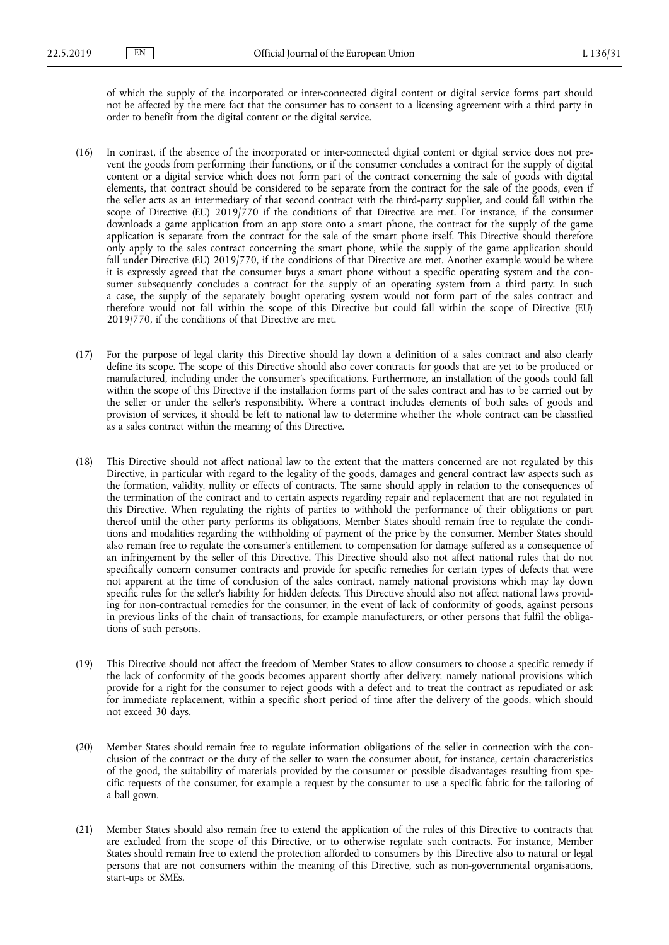of which the supply of the incorporated or inter-connected digital content or digital service forms part should not be affected by the mere fact that the consumer has to consent to a licensing agreement with a third party in order to benefit from the digital content or the digital service.

- (16) In contrast, if the absence of the incorporated or inter-connected digital content or digital service does not prevent the goods from performing their functions, or if the consumer concludes a contract for the supply of digital content or a digital service which does not form part of the contract concerning the sale of goods with digital elements, that contract should be considered to be separate from the contract for the sale of the goods, even if the seller acts as an intermediary of that second contract with the third-party supplier, and could fall within the scope of Directive (EU) 2019/770 if the conditions of that Directive are met. For instance, if the consumer downloads a game application from an app store onto a smart phone, the contract for the supply of the game application is separate from the contract for the sale of the smart phone itself. This Directive should therefore only apply to the sales contract concerning the smart phone, while the supply of the game application should fall under Directive (EU) 2019/770, if the conditions of that Directive are met. Another example would be where it is expressly agreed that the consumer buys a smart phone without a specific operating system and the consumer subsequently concludes a contract for the supply of an operating system from a third party. In such a case, the supply of the separately bought operating system would not form part of the sales contract and therefore would not fall within the scope of this Directive but could fall within the scope of Directive (EU) 2019/770, if the conditions of that Directive are met.
- (17) For the purpose of legal clarity this Directive should lay down a definition of a sales contract and also clearly define its scope. The scope of this Directive should also cover contracts for goods that are yet to be produced or manufactured, including under the consumer's specifications. Furthermore, an installation of the goods could fall within the scope of this Directive if the installation forms part of the sales contract and has to be carried out by the seller or under the seller's responsibility. Where a contract includes elements of both sales of goods and provision of services, it should be left to national law to determine whether the whole contract can be classified as a sales contract within the meaning of this Directive.
- (18) This Directive should not affect national law to the extent that the matters concerned are not regulated by this Directive, in particular with regard to the legality of the goods, damages and general contract law aspects such as the formation, validity, nullity or effects of contracts. The same should apply in relation to the consequences of the termination of the contract and to certain aspects regarding repair and replacement that are not regulated in this Directive. When regulating the rights of parties to withhold the performance of their obligations or part thereof until the other party performs its obligations, Member States should remain free to regulate the conditions and modalities regarding the withholding of payment of the price by the consumer. Member States should also remain free to regulate the consumer's entitlement to compensation for damage suffered as a consequence of an infringement by the seller of this Directive. This Directive should also not affect national rules that do not specifically concern consumer contracts and provide for specific remedies for certain types of defects that were not apparent at the time of conclusion of the sales contract, namely national provisions which may lay down specific rules for the seller's liability for hidden defects. This Directive should also not affect national laws providing for non-contractual remedies for the consumer, in the event of lack of conformity of goods, against persons in previous links of the chain of transactions, for example manufacturers, or other persons that fulfil the obligations of such persons.
- (19) This Directive should not affect the freedom of Member States to allow consumers to choose a specific remedy if the lack of conformity of the goods becomes apparent shortly after delivery, namely national provisions which provide for a right for the consumer to reject goods with a defect and to treat the contract as repudiated or ask for immediate replacement, within a specific short period of time after the delivery of the goods, which should not exceed 30 days.
- (20) Member States should remain free to regulate information obligations of the seller in connection with the conclusion of the contract or the duty of the seller to warn the consumer about, for instance, certain characteristics of the good, the suitability of materials provided by the consumer or possible disadvantages resulting from specific requests of the consumer, for example a request by the consumer to use a specific fabric for the tailoring of a ball gown.
- (21) Member States should also remain free to extend the application of the rules of this Directive to contracts that are excluded from the scope of this Directive, or to otherwise regulate such contracts. For instance, Member States should remain free to extend the protection afforded to consumers by this Directive also to natural or legal persons that are not consumers within the meaning of this Directive, such as non-governmental organisations, start-ups or SMEs.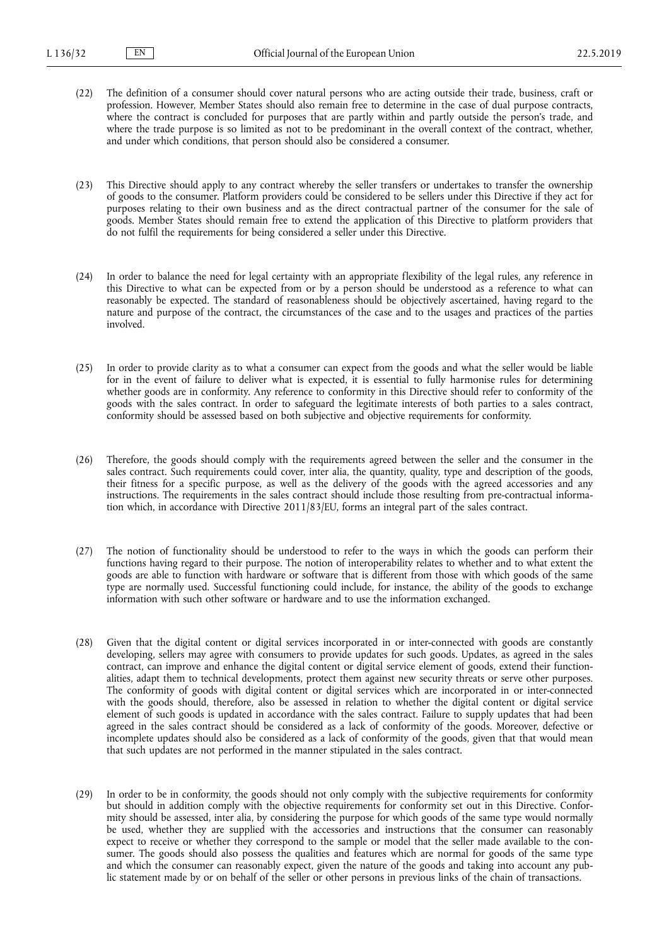- (22) The definition of a consumer should cover natural persons who are acting outside their trade, business, craft or profession. However, Member States should also remain free to determine in the case of dual purpose contracts, where the contract is concluded for purposes that are partly within and partly outside the person's trade, and where the trade purpose is so limited as not to be predominant in the overall context of the contract, whether, and under which conditions, that person should also be considered a consumer.
- (23) This Directive should apply to any contract whereby the seller transfers or undertakes to transfer the ownership of goods to the consumer. Platform providers could be considered to be sellers under this Directive if they act for purposes relating to their own business and as the direct contractual partner of the consumer for the sale of goods. Member States should remain free to extend the application of this Directive to platform providers that do not fulfil the requirements for being considered a seller under this Directive.
- (24) In order to balance the need for legal certainty with an appropriate flexibility of the legal rules, any reference in this Directive to what can be expected from or by a person should be understood as a reference to what can reasonably be expected. The standard of reasonableness should be objectively ascertained, having regard to the nature and purpose of the contract, the circumstances of the case and to the usages and practices of the parties involved.
- (25) In order to provide clarity as to what a consumer can expect from the goods and what the seller would be liable for in the event of failure to deliver what is expected, it is essential to fully harmonise rules for determining whether goods are in conformity. Any reference to conformity in this Directive should refer to conformity of the goods with the sales contract. In order to safeguard the legitimate interests of both parties to a sales contract, conformity should be assessed based on both subjective and objective requirements for conformity.
- (26) Therefore, the goods should comply with the requirements agreed between the seller and the consumer in the sales contract. Such requirements could cover, inter alia, the quantity, quality, type and description of the goods, their fitness for a specific purpose, as well as the delivery of the goods with the agreed accessories and any instructions. The requirements in the sales contract should include those resulting from pre-contractual information which, in accordance with Directive 2011/83/EU, forms an integral part of the sales contract.
- (27) The notion of functionality should be understood to refer to the ways in which the goods can perform their functions having regard to their purpose. The notion of interoperability relates to whether and to what extent the goods are able to function with hardware or software that is different from those with which goods of the same type are normally used. Successful functioning could include, for instance, the ability of the goods to exchange information with such other software or hardware and to use the information exchanged.
- (28) Given that the digital content or digital services incorporated in or inter-connected with goods are constantly developing, sellers may agree with consumers to provide updates for such goods. Updates, as agreed in the sales contract, can improve and enhance the digital content or digital service element of goods, extend their functionalities, adapt them to technical developments, protect them against new security threats or serve other purposes. The conformity of goods with digital content or digital services which are incorporated in or inter-connected with the goods should, therefore, also be assessed in relation to whether the digital content or digital service element of such goods is updated in accordance with the sales contract. Failure to supply updates that had been agreed in the sales contract should be considered as a lack of conformity of the goods. Moreover, defective or incomplete updates should also be considered as a lack of conformity of the goods, given that that would mean that such updates are not performed in the manner stipulated in the sales contract.
- (29) In order to be in conformity, the goods should not only comply with the subjective requirements for conformity but should in addition comply with the objective requirements for conformity set out in this Directive. Conformity should be assessed, inter alia, by considering the purpose for which goods of the same type would normally be used, whether they are supplied with the accessories and instructions that the consumer can reasonably expect to receive or whether they correspond to the sample or model that the seller made available to the consumer. The goods should also possess the qualities and features which are normal for goods of the same type and which the consumer can reasonably expect, given the nature of the goods and taking into account any public statement made by or on behalf of the seller or other persons in previous links of the chain of transactions.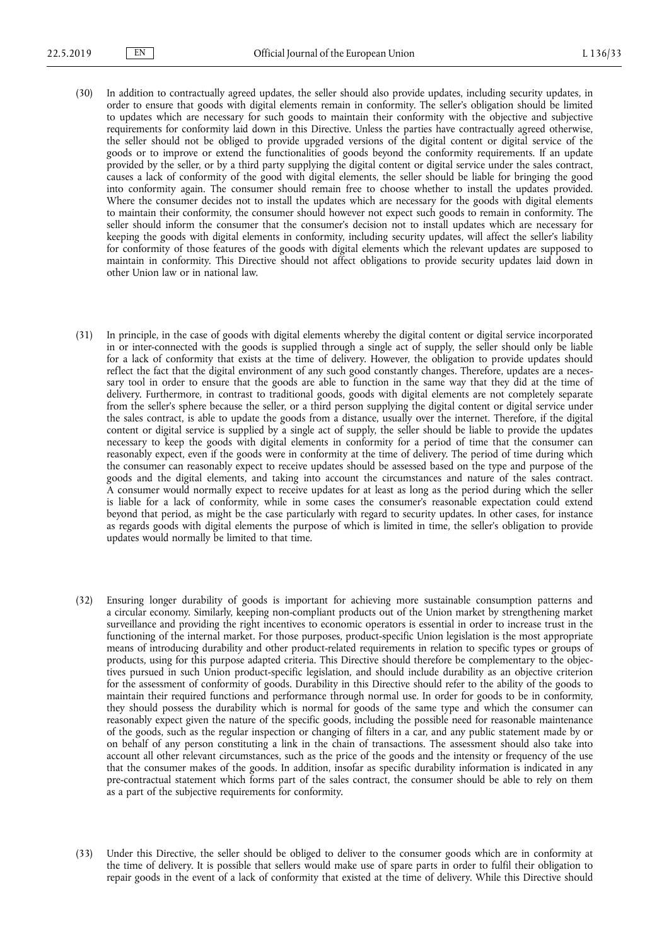- (30) In addition to contractually agreed updates, the seller should also provide updates, including security updates, in order to ensure that goods with digital elements remain in conformity. The seller's obligation should be limited to updates which are necessary for such goods to maintain their conformity with the objective and subjective requirements for conformity laid down in this Directive. Unless the parties have contractually agreed otherwise, the seller should not be obliged to provide upgraded versions of the digital content or digital service of the goods or to improve or extend the functionalities of goods beyond the conformity requirements. If an update provided by the seller, or by a third party supplying the digital content or digital service under the sales contract, causes a lack of conformity of the good with digital elements, the seller should be liable for bringing the good into conformity again. The consumer should remain free to choose whether to install the updates provided. Where the consumer decides not to install the updates which are necessary for the goods with digital elements to maintain their conformity, the consumer should however not expect such goods to remain in conformity. The seller should inform the consumer that the consumer's decision not to install updates which are necessary for keeping the goods with digital elements in conformity, including security updates, will affect the seller's liability for conformity of those features of the goods with digital elements which the relevant updates are supposed to maintain in conformity. This Directive should not affect obligations to provide security updates laid down in other Union law or in national law.
- (31) In principle, in the case of goods with digital elements whereby the digital content or digital service incorporated in or inter-connected with the goods is supplied through a single act of supply, the seller should only be liable for a lack of conformity that exists at the time of delivery. However, the obligation to provide updates should reflect the fact that the digital environment of any such good constantly changes. Therefore, updates are a necessary tool in order to ensure that the goods are able to function in the same way that they did at the time of delivery. Furthermore, in contrast to traditional goods, goods with digital elements are not completely separate from the seller's sphere because the seller, or a third person supplying the digital content or digital service under the sales contract, is able to update the goods from a distance, usually over the internet. Therefore, if the digital content or digital service is supplied by a single act of supply, the seller should be liable to provide the updates necessary to keep the goods with digital elements in conformity for a period of time that the consumer can reasonably expect, even if the goods were in conformity at the time of delivery. The period of time during which the consumer can reasonably expect to receive updates should be assessed based on the type and purpose of the goods and the digital elements, and taking into account the circumstances and nature of the sales contract. A consumer would normally expect to receive updates for at least as long as the period during which the seller is liable for a lack of conformity, while in some cases the consumer's reasonable expectation could extend beyond that period, as might be the case particularly with regard to security updates. In other cases, for instance as regards goods with digital elements the purpose of which is limited in time, the seller's obligation to provide updates would normally be limited to that time.
- (32) Ensuring longer durability of goods is important for achieving more sustainable consumption patterns and a circular economy. Similarly, keeping non-compliant products out of the Union market by strengthening market surveillance and providing the right incentives to economic operators is essential in order to increase trust in the functioning of the internal market. For those purposes, product-specific Union legislation is the most appropriate means of introducing durability and other product-related requirements in relation to specific types or groups of products, using for this purpose adapted criteria. This Directive should therefore be complementary to the objectives pursued in such Union product-specific legislation, and should include durability as an objective criterion for the assessment of conformity of goods. Durability in this Directive should refer to the ability of the goods to maintain their required functions and performance through normal use. In order for goods to be in conformity, they should possess the durability which is normal for goods of the same type and which the consumer can reasonably expect given the nature of the specific goods, including the possible need for reasonable maintenance of the goods, such as the regular inspection or changing of filters in a car, and any public statement made by or on behalf of any person constituting a link in the chain of transactions. The assessment should also take into account all other relevant circumstances, such as the price of the goods and the intensity or frequency of the use that the consumer makes of the goods. In addition, insofar as specific durability information is indicated in any pre-contractual statement which forms part of the sales contract, the consumer should be able to rely on them as a part of the subjective requirements for conformity.
- (33) Under this Directive, the seller should be obliged to deliver to the consumer goods which are in conformity at the time of delivery. It is possible that sellers would make use of spare parts in order to fulfil their obligation to repair goods in the event of a lack of conformity that existed at the time of delivery. While this Directive should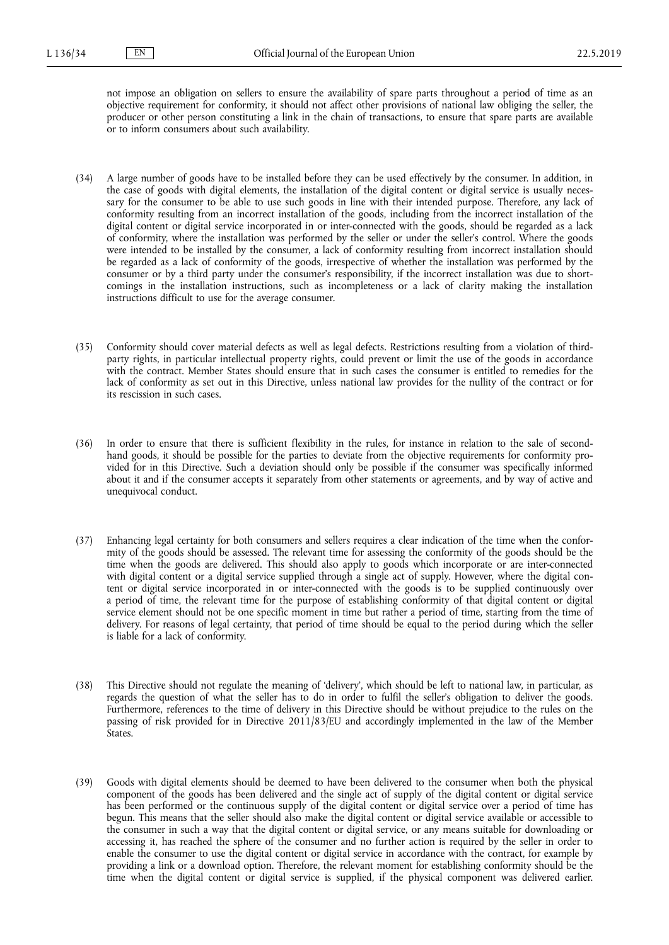not impose an obligation on sellers to ensure the availability of spare parts throughout a period of time as an objective requirement for conformity, it should not affect other provisions of national law obliging the seller, the producer or other person constituting a link in the chain of transactions, to ensure that spare parts are available or to inform consumers about such availability.

- (34) A large number of goods have to be installed before they can be used effectively by the consumer. In addition, in the case of goods with digital elements, the installation of the digital content or digital service is usually necessary for the consumer to be able to use such goods in line with their intended purpose. Therefore, any lack of conformity resulting from an incorrect installation of the goods, including from the incorrect installation of the digital content or digital service incorporated in or inter-connected with the goods, should be regarded as a lack of conformity, where the installation was performed by the seller or under the seller's control. Where the goods were intended to be installed by the consumer, a lack of conformity resulting from incorrect installation should be regarded as a lack of conformity of the goods, irrespective of whether the installation was performed by the consumer or by a third party under the consumer's responsibility, if the incorrect installation was due to shortcomings in the installation instructions, such as incompleteness or a lack of clarity making the installation instructions difficult to use for the average consumer.
- (35) Conformity should cover material defects as well as legal defects. Restrictions resulting from a violation of thirdparty rights, in particular intellectual property rights, could prevent or limit the use of the goods in accordance with the contract. Member States should ensure that in such cases the consumer is entitled to remedies for the lack of conformity as set out in this Directive, unless national law provides for the nullity of the contract or for its rescission in such cases.
- (36) In order to ensure that there is sufficient flexibility in the rules, for instance in relation to the sale of secondhand goods, it should be possible for the parties to deviate from the objective requirements for conformity provided for in this Directive. Such a deviation should only be possible if the consumer was specifically informed about it and if the consumer accepts it separately from other statements or agreements, and by way of active and unequivocal conduct.
- (37) Enhancing legal certainty for both consumers and sellers requires a clear indication of the time when the conformity of the goods should be assessed. The relevant time for assessing the conformity of the goods should be the time when the goods are delivered. This should also apply to goods which incorporate or are inter-connected with digital content or a digital service supplied through a single act of supply. However, where the digital content or digital service incorporated in or inter-connected with the goods is to be supplied continuously over a period of time, the relevant time for the purpose of establishing conformity of that digital content or digital service element should not be one specific moment in time but rather a period of time, starting from the time of delivery. For reasons of legal certainty, that period of time should be equal to the period during which the seller is liable for a lack of conformity.
- (38) This Directive should not regulate the meaning of 'delivery', which should be left to national law, in particular, as regards the question of what the seller has to do in order to fulfil the seller's obligation to deliver the goods. Furthermore, references to the time of delivery in this Directive should be without prejudice to the rules on the passing of risk provided for in Directive 2011/83/EU and accordingly implemented in the law of the Member States.
- (39) Goods with digital elements should be deemed to have been delivered to the consumer when both the physical component of the goods has been delivered and the single act of supply of the digital content or digital service has been performed or the continuous supply of the digital content or digital service over a period of time has begun. This means that the seller should also make the digital content or digital service available or accessible to the consumer in such a way that the digital content or digital service, or any means suitable for downloading or accessing it, has reached the sphere of the consumer and no further action is required by the seller in order to enable the consumer to use the digital content or digital service in accordance with the contract, for example by providing a link or a download option. Therefore, the relevant moment for establishing conformity should be the time when the digital content or digital service is supplied, if the physical component was delivered earlier.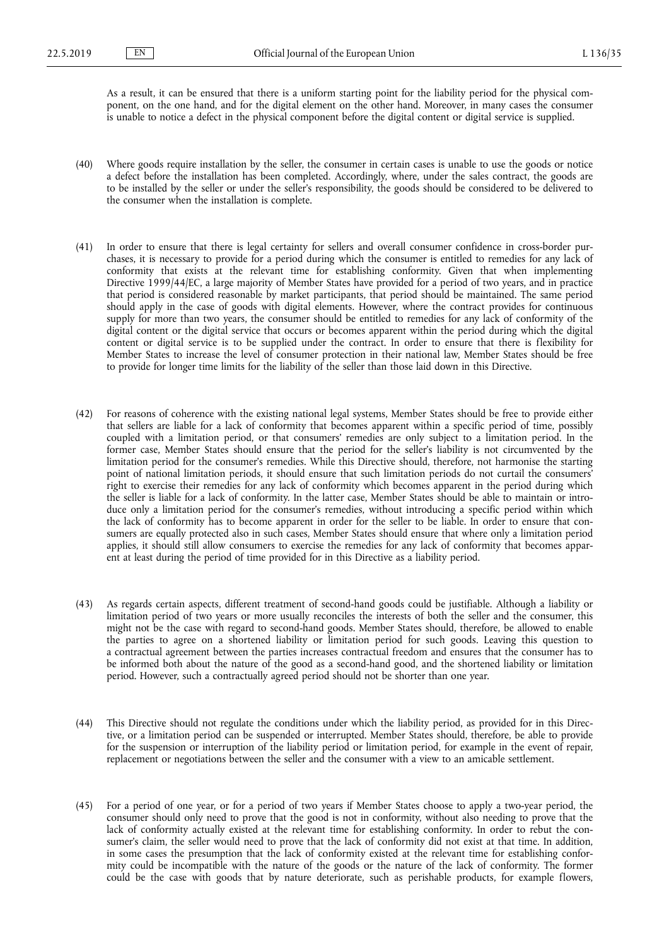As a result, it can be ensured that there is a uniform starting point for the liability period for the physical component, on the one hand, and for the digital element on the other hand. Moreover, in many cases the consumer is unable to notice a defect in the physical component before the digital content or digital service is supplied.

- (40) Where goods require installation by the seller, the consumer in certain cases is unable to use the goods or notice a defect before the installation has been completed. Accordingly, where, under the sales contract, the goods are to be installed by the seller or under the seller's responsibility, the goods should be considered to be delivered to the consumer when the installation is complete.
- (41) In order to ensure that there is legal certainty for sellers and overall consumer confidence in cross-border purchases, it is necessary to provide for a period during which the consumer is entitled to remedies for any lack of conformity that exists at the relevant time for establishing conformity. Given that when implementing Directive 1999/44/EC, a large majority of Member States have provided for a period of two years, and in practice that period is considered reasonable by market participants, that period should be maintained. The same period should apply in the case of goods with digital elements. However, where the contract provides for continuous supply for more than two years, the consumer should be entitled to remedies for any lack of conformity of the digital content or the digital service that occurs or becomes apparent within the period during which the digital content or digital service is to be supplied under the contract. In order to ensure that there is flexibility for Member States to increase the level of consumer protection in their national law, Member States should be free to provide for longer time limits for the liability of the seller than those laid down in this Directive.
- (42) For reasons of coherence with the existing national legal systems, Member States should be free to provide either that sellers are liable for a lack of conformity that becomes apparent within a specific period of time, possibly coupled with a limitation period, or that consumers' remedies are only subject to a limitation period. In the former case, Member States should ensure that the period for the seller's liability is not circumvented by the limitation period for the consumer's remedies. While this Directive should, therefore, not harmonise the starting point of national limitation periods, it should ensure that such limitation periods do not curtail the consumers' right to exercise their remedies for any lack of conformity which becomes apparent in the period during which the seller is liable for a lack of conformity. In the latter case, Member States should be able to maintain or introduce only a limitation period for the consumer's remedies, without introducing a specific period within which the lack of conformity has to become apparent in order for the seller to be liable. In order to ensure that consumers are equally protected also in such cases, Member States should ensure that where only a limitation period applies, it should still allow consumers to exercise the remedies for any lack of conformity that becomes apparent at least during the period of time provided for in this Directive as a liability period.
- (43) As regards certain aspects, different treatment of second-hand goods could be justifiable. Although a liability or limitation period of two years or more usually reconciles the interests of both the seller and the consumer, this might not be the case with regard to second-hand goods. Member States should, therefore, be allowed to enable the parties to agree on a shortened liability or limitation period for such goods. Leaving this question to a contractual agreement between the parties increases contractual freedom and ensures that the consumer has to be informed both about the nature of the good as a second-hand good, and the shortened liability or limitation period. However, such a contractually agreed period should not be shorter than one year.
- (44) This Directive should not regulate the conditions under which the liability period, as provided for in this Directive, or a limitation period can be suspended or interrupted. Member States should, therefore, be able to provide for the suspension or interruption of the liability period or limitation period, for example in the event of repair, replacement or negotiations between the seller and the consumer with a view to an amicable settlement.
- (45) For a period of one year, or for a period of two years if Member States choose to apply a two-year period, the consumer should only need to prove that the good is not in conformity, without also needing to prove that the lack of conformity actually existed at the relevant time for establishing conformity. In order to rebut the consumer's claim, the seller would need to prove that the lack of conformity did not exist at that time. In addition, in some cases the presumption that the lack of conformity existed at the relevant time for establishing conformity could be incompatible with the nature of the goods or the nature of the lack of conformity. The former could be the case with goods that by nature deteriorate, such as perishable products, for example flowers,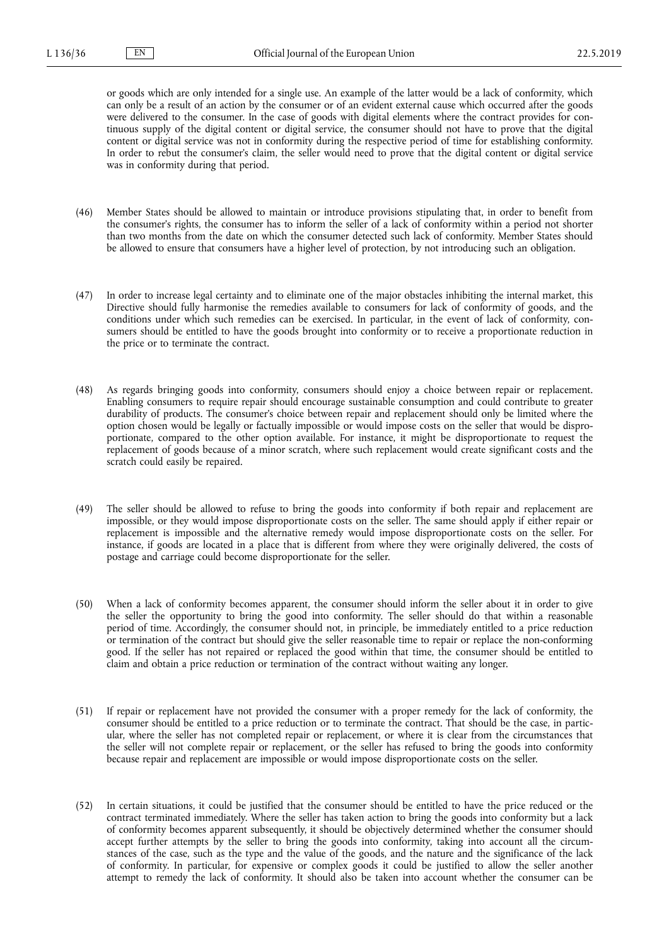or goods which are only intended for a single use. An example of the latter would be a lack of conformity, which can only be a result of an action by the consumer or of an evident external cause which occurred after the goods were delivered to the consumer. In the case of goods with digital elements where the contract provides for continuous supply of the digital content or digital service, the consumer should not have to prove that the digital content or digital service was not in conformity during the respective period of time for establishing conformity. In order to rebut the consumer's claim, the seller would need to prove that the digital content or digital service was in conformity during that period.

- (46) Member States should be allowed to maintain or introduce provisions stipulating that, in order to benefit from the consumer's rights, the consumer has to inform the seller of a lack of conformity within a period not shorter than two months from the date on which the consumer detected such lack of conformity. Member States should be allowed to ensure that consumers have a higher level of protection, by not introducing such an obligation.
- (47) In order to increase legal certainty and to eliminate one of the major obstacles inhibiting the internal market, this Directive should fully harmonise the remedies available to consumers for lack of conformity of goods, and the conditions under which such remedies can be exercised. In particular, in the event of lack of conformity, consumers should be entitled to have the goods brought into conformity or to receive a proportionate reduction in the price or to terminate the contract.
- (48) As regards bringing goods into conformity, consumers should enjoy a choice between repair or replacement. Enabling consumers to require repair should encourage sustainable consumption and could contribute to greater durability of products. The consumer's choice between repair and replacement should only be limited where the option chosen would be legally or factually impossible or would impose costs on the seller that would be disproportionate, compared to the other option available. For instance, it might be disproportionate to request the replacement of goods because of a minor scratch, where such replacement would create significant costs and the scratch could easily be repaired.
- (49) The seller should be allowed to refuse to bring the goods into conformity if both repair and replacement are impossible, or they would impose disproportionate costs on the seller. The same should apply if either repair or replacement is impossible and the alternative remedy would impose disproportionate costs on the seller. For instance, if goods are located in a place that is different from where they were originally delivered, the costs of postage and carriage could become disproportionate for the seller.
- (50) When a lack of conformity becomes apparent, the consumer should inform the seller about it in order to give the seller the opportunity to bring the good into conformity. The seller should do that within a reasonable period of time. Accordingly, the consumer should not, in principle, be immediately entitled to a price reduction or termination of the contract but should give the seller reasonable time to repair or replace the non-conforming good. If the seller has not repaired or replaced the good within that time, the consumer should be entitled to claim and obtain a price reduction or termination of the contract without waiting any longer.
- (51) If repair or replacement have not provided the consumer with a proper remedy for the lack of conformity, the consumer should be entitled to a price reduction or to terminate the contract. That should be the case, in particular, where the seller has not completed repair or replacement, or where it is clear from the circumstances that the seller will not complete repair or replacement, or the seller has refused to bring the goods into conformity because repair and replacement are impossible or would impose disproportionate costs on the seller.
- (52) In certain situations, it could be justified that the consumer should be entitled to have the price reduced or the contract terminated immediately. Where the seller has taken action to bring the goods into conformity but a lack of conformity becomes apparent subsequently, it should be objectively determined whether the consumer should accept further attempts by the seller to bring the goods into conformity, taking into account all the circumstances of the case, such as the type and the value of the goods, and the nature and the significance of the lack of conformity. In particular, for expensive or complex goods it could be justified to allow the seller another attempt to remedy the lack of conformity. It should also be taken into account whether the consumer can be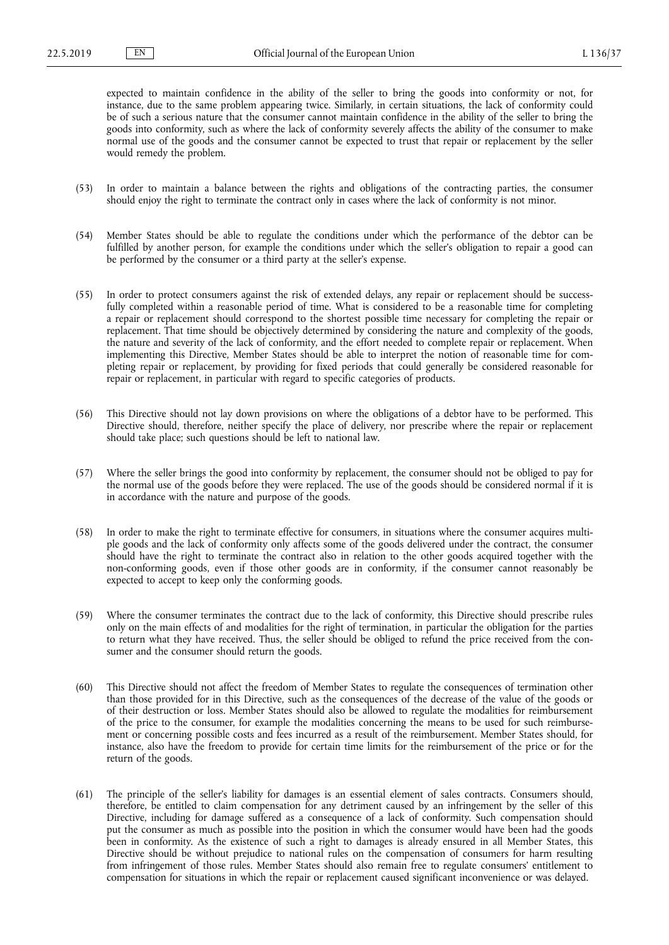expected to maintain confidence in the ability of the seller to bring the goods into conformity or not, for instance, due to the same problem appearing twice. Similarly, in certain situations, the lack of conformity could be of such a serious nature that the consumer cannot maintain confidence in the ability of the seller to bring the goods into conformity, such as where the lack of conformity severely affects the ability of the consumer to make normal use of the goods and the consumer cannot be expected to trust that repair or replacement by the seller would remedy the problem.

- (53) In order to maintain a balance between the rights and obligations of the contracting parties, the consumer should enjoy the right to terminate the contract only in cases where the lack of conformity is not minor.
- (54) Member States should be able to regulate the conditions under which the performance of the debtor can be fulfilled by another person, for example the conditions under which the seller's obligation to repair a good can be performed by the consumer or a third party at the seller's expense.
- (55) In order to protect consumers against the risk of extended delays, any repair or replacement should be successfully completed within a reasonable period of time. What is considered to be a reasonable time for completing a repair or replacement should correspond to the shortest possible time necessary for completing the repair or replacement. That time should be objectively determined by considering the nature and complexity of the goods, the nature and severity of the lack of conformity, and the effort needed to complete repair or replacement. When implementing this Directive, Member States should be able to interpret the notion of reasonable time for completing repair or replacement, by providing for fixed periods that could generally be considered reasonable for repair or replacement, in particular with regard to specific categories of products.
- (56) This Directive should not lay down provisions on where the obligations of a debtor have to be performed. This Directive should, therefore, neither specify the place of delivery, nor prescribe where the repair or replacement should take place; such questions should be left to national law.
- (57) Where the seller brings the good into conformity by replacement, the consumer should not be obliged to pay for the normal use of the goods before they were replaced. The use of the goods should be considered normal if it is in accordance with the nature and purpose of the goods.
- (58) In order to make the right to terminate effective for consumers, in situations where the consumer acquires multiple goods and the lack of conformity only affects some of the goods delivered under the contract, the consumer should have the right to terminate the contract also in relation to the other goods acquired together with the non-conforming goods, even if those other goods are in conformity, if the consumer cannot reasonably be expected to accept to keep only the conforming goods.
- (59) Where the consumer terminates the contract due to the lack of conformity, this Directive should prescribe rules only on the main effects of and modalities for the right of termination, in particular the obligation for the parties to return what they have received. Thus, the seller should be obliged to refund the price received from the consumer and the consumer should return the goods.
- (60) This Directive should not affect the freedom of Member States to regulate the consequences of termination other than those provided for in this Directive, such as the consequences of the decrease of the value of the goods or of their destruction or loss. Member States should also be allowed to regulate the modalities for reimbursement of the price to the consumer, for example the modalities concerning the means to be used for such reimbursement or concerning possible costs and fees incurred as a result of the reimbursement. Member States should, for instance, also have the freedom to provide for certain time limits for the reimbursement of the price or for the return of the goods.
- (61) The principle of the seller's liability for damages is an essential element of sales contracts. Consumers should, therefore, be entitled to claim compensation for any detriment caused by an infringement by the seller of this Directive, including for damage suffered as a consequence of a lack of conformity. Such compensation should put the consumer as much as possible into the position in which the consumer would have been had the goods been in conformity. As the existence of such a right to damages is already ensured in all Member States, this Directive should be without prejudice to national rules on the compensation of consumers for harm resulting from infringement of those rules. Member States should also remain free to regulate consumers' entitlement to compensation for situations in which the repair or replacement caused significant inconvenience or was delayed.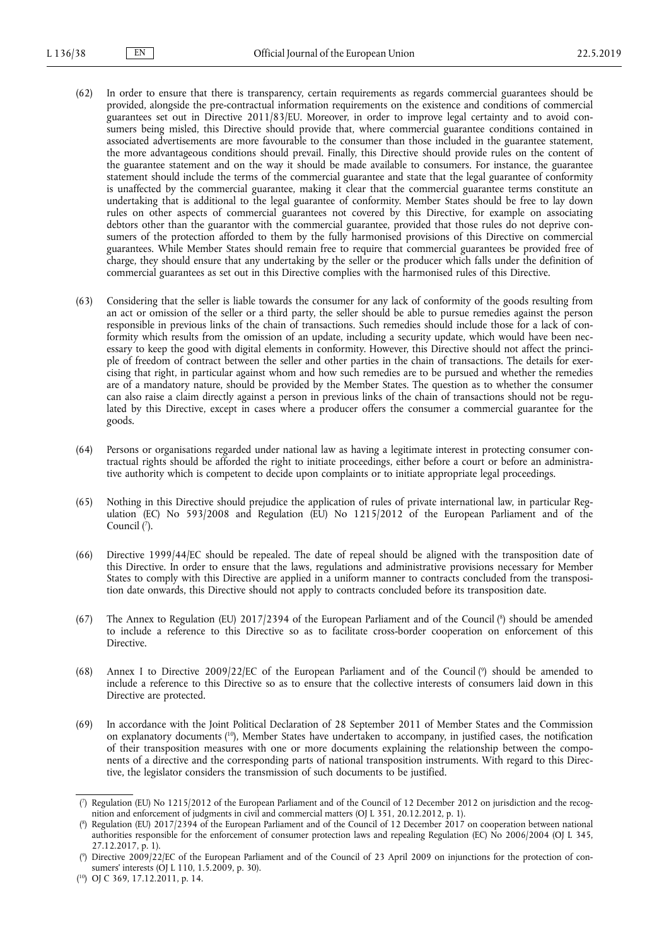- (62) In order to ensure that there is transparency, certain requirements as regards commercial guarantees should be provided, alongside the pre-contractual information requirements on the existence and conditions of commercial guarantees set out in Directive 2011/83/EU. Moreover, in order to improve legal certainty and to avoid consumers being misled, this Directive should provide that, where commercial guarantee conditions contained in associated advertisements are more favourable to the consumer than those included in the guarantee statement, the more advantageous conditions should prevail. Finally, this Directive should provide rules on the content of the guarantee statement and on the way it should be made available to consumers. For instance, the guarantee statement should include the terms of the commercial guarantee and state that the legal guarantee of conformity is unaffected by the commercial guarantee, making it clear that the commercial guarantee terms constitute an undertaking that is additional to the legal guarantee of conformity. Member States should be free to lay down rules on other aspects of commercial guarantees not covered by this Directive, for example on associating debtors other than the guarantor with the commercial guarantee, provided that those rules do not deprive consumers of the protection afforded to them by the fully harmonised provisions of this Directive on commercial guarantees. While Member States should remain free to require that commercial guarantees be provided free of charge, they should ensure that any undertaking by the seller or the producer which falls under the definition of commercial guarantees as set out in this Directive complies with the harmonised rules of this Directive.
- (63) Considering that the seller is liable towards the consumer for any lack of conformity of the goods resulting from an act or omission of the seller or a third party, the seller should be able to pursue remedies against the person responsible in previous links of the chain of transactions. Such remedies should include those for a lack of conformity which results from the omission of an update, including a security update, which would have been necessary to keep the good with digital elements in conformity. However, this Directive should not affect the principle of freedom of contract between the seller and other parties in the chain of transactions. The details for exercising that right, in particular against whom and how such remedies are to be pursued and whether the remedies are of a mandatory nature, should be provided by the Member States. The question as to whether the consumer can also raise a claim directly against a person in previous links of the chain of transactions should not be regulated by this Directive, except in cases where a producer offers the consumer a commercial guarantee for the goods.
- (64) Persons or organisations regarded under national law as having a legitimate interest in protecting consumer contractual rights should be afforded the right to initiate proceedings, either before a court or before an administrative authority which is competent to decide upon complaints or to initiate appropriate legal proceedings.
- (65) Nothing in this Directive should prejudice the application of rules of private international law, in particular Regulation (EC) No 593/2008 and Regulation (EU) No 1215/2012 of the European Parliament and of the Council (7).
- (66) Directive 1999/44/EC should be repealed. The date of repeal should be aligned with the transposition date of this Directive. In order to ensure that the laws, regulations and administrative provisions necessary for Member States to comply with this Directive are applied in a uniform manner to contracts concluded from the transposition date onwards, this Directive should not apply to contracts concluded before its transposition date.
- (67) The Annex to Regulation (EU) 2017/2394 of the European Parliament and of the Council ( 8 ) should be amended to include a reference to this Directive so as to facilitate cross-border cooperation on enforcement of this Directive.
- (68) Annex I to Directive 2009/22/EC of the European Parliament and of the Council ( $\degree$ ) should be amended to include a reference to this Directive so as to ensure that the collective interests of consumers laid down in this Directive are protected.
- (69) In accordance with the Joint Political Declaration of 28 September 2011 of Member States and the Commission on explanatory documents ( <sup>10</sup>), Member States have undertaken to accompany, in justified cases, the notification of their transposition measures with one or more documents explaining the relationship between the components of a directive and the corresponding parts of national transposition instruments. With regard to this Directive, the legislator considers the transmission of such documents to be justified.

<sup>(</sup> 7 ) Regulation (EU) No 1215/2012 of the European Parliament and of the Council of 12 December 2012 on jurisdiction and the recognition and enforcement of judgments in civil and commercial matters (OJ L 351, 20.12.2012, p. 1).

<sup>(</sup> 8 ) Regulation (EU) 2017/2394 of the European Parliament and of the Council of 12 December 2017 on cooperation between national authorities responsible for the enforcement of consumer protection laws and repealing Regulation (EC) No 2006/2004 (OJ L 345, 27.12.2017, p. 1).

<sup>(</sup> 9 ) Directive 2009/22/EC of the European Parliament and of the Council of 23 April 2009 on injunctions for the protection of consumers' interests (OJ L 110, 1.5.2009, p. 30).

<sup>(</sup> <sup>10</sup>) OJ C 369, 17.12.2011, p. 14.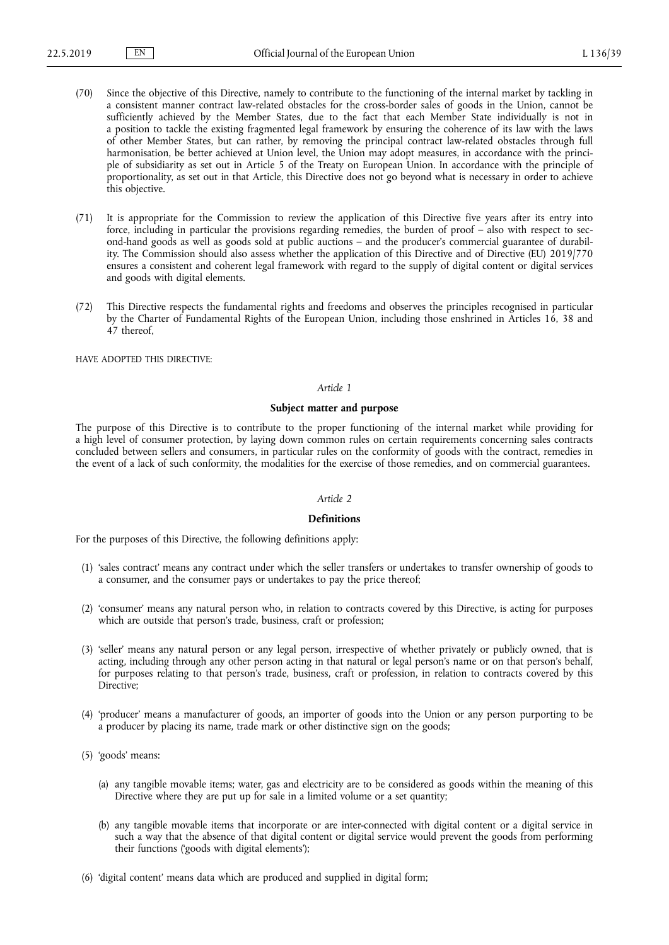- (70) Since the objective of this Directive, namely to contribute to the functioning of the internal market by tackling in a consistent manner contract law-related obstacles for the cross-border sales of goods in the Union, cannot be sufficiently achieved by the Member States, due to the fact that each Member State individually is not in a position to tackle the existing fragmented legal framework by ensuring the coherence of its law with the laws of other Member States, but can rather, by removing the principal contract law-related obstacles through full harmonisation, be better achieved at Union level, the Union may adopt measures, in accordance with the principle of subsidiarity as set out in Article 5 of the Treaty on European Union. In accordance with the principle of proportionality, as set out in that Article, this Directive does not go beyond what is necessary in order to achieve this objective.
- (71) It is appropriate for the Commission to review the application of this Directive five years after its entry into force, including in particular the provisions regarding remedies, the burden of proof – also with respect to second-hand goods as well as goods sold at public auctions – and the producer's commercial guarantee of durability. The Commission should also assess whether the application of this Directive and of Directive (EU) 2019/770 ensures a consistent and coherent legal framework with regard to the supply of digital content or digital services and goods with digital elements.
- (72) This Directive respects the fundamental rights and freedoms and observes the principles recognised in particular by the Charter of Fundamental Rights of the European Union, including those enshrined in Articles 16, 38 and 47 thereof,

HAVE ADOPTED THIS DIRECTIVE:

# *Article 1*

#### **Subject matter and purpose**

The purpose of this Directive is to contribute to the proper functioning of the internal market while providing for a high level of consumer protection, by laying down common rules on certain requirements concerning sales contracts concluded between sellers and consumers, in particular rules on the conformity of goods with the contract, remedies in the event of a lack of such conformity, the modalities for the exercise of those remedies, and on commercial guarantees.

# *Article 2*

#### **Definitions**

For the purposes of this Directive, the following definitions apply:

- (1) 'sales contract' means any contract under which the seller transfers or undertakes to transfer ownership of goods to a consumer, and the consumer pays or undertakes to pay the price thereof;
- (2) 'consumer' means any natural person who, in relation to contracts covered by this Directive, is acting for purposes which are outside that person's trade, business, craft or profession;
- (3) 'seller' means any natural person or any legal person, irrespective of whether privately or publicly owned, that is acting, including through any other person acting in that natural or legal person's name or on that person's behalf, for purposes relating to that person's trade, business, craft or profession, in relation to contracts covered by this Directive;
- (4) 'producer' means a manufacturer of goods, an importer of goods into the Union or any person purporting to be a producer by placing its name, trade mark or other distinctive sign on the goods;
- (5) 'goods' means:
	- (a) any tangible movable items; water, gas and electricity are to be considered as goods within the meaning of this Directive where they are put up for sale in a limited volume or a set quantity;
	- (b) any tangible movable items that incorporate or are inter-connected with digital content or a digital service in such a way that the absence of that digital content or digital service would prevent the goods from performing their functions ('goods with digital elements');
- (6) 'digital content' means data which are produced and supplied in digital form;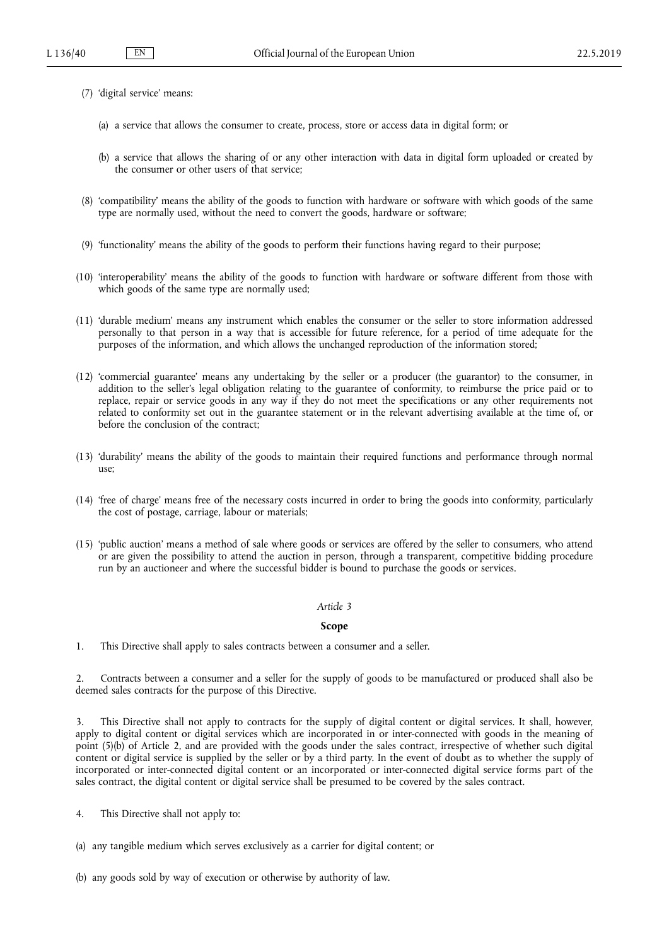- (7) 'digital service' means:
	- (a) a service that allows the consumer to create, process, store or access data in digital form; or
	- (b) a service that allows the sharing of or any other interaction with data in digital form uploaded or created by the consumer or other users of that service;
- (8) 'compatibility' means the ability of the goods to function with hardware or software with which goods of the same type are normally used, without the need to convert the goods, hardware or software;
- (9) 'functionality' means the ability of the goods to perform their functions having regard to their purpose;
- (10) 'interoperability' means the ability of the goods to function with hardware or software different from those with which goods of the same type are normally used;
- (11) 'durable medium' means any instrument which enables the consumer or the seller to store information addressed personally to that person in a way that is accessible for future reference, for a period of time adequate for the purposes of the information, and which allows the unchanged reproduction of the information stored;
- (12) 'commercial guarantee' means any undertaking by the seller or a producer (the guarantor) to the consumer, in addition to the seller's legal obligation relating to the guarantee of conformity, to reimburse the price paid or to replace, repair or service goods in any way if they do not meet the specifications or any other requirements not related to conformity set out in the guarantee statement or in the relevant advertising available at the time of, or before the conclusion of the contract;
- (13) 'durability' means the ability of the goods to maintain their required functions and performance through normal use;
- (14) 'free of charge' means free of the necessary costs incurred in order to bring the goods into conformity, particularly the cost of postage, carriage, labour or materials;
- (15) 'public auction' means a method of sale where goods or services are offered by the seller to consumers, who attend or are given the possibility to attend the auction in person, through a transparent, competitive bidding procedure run by an auctioneer and where the successful bidder is bound to purchase the goods or services.

#### **Scope**

1. This Directive shall apply to sales contracts between a consumer and a seller.

2. Contracts between a consumer and a seller for the supply of goods to be manufactured or produced shall also be deemed sales contracts for the purpose of this Directive.

3. This Directive shall not apply to contracts for the supply of digital content or digital services. It shall, however, apply to digital content or digital services which are incorporated in or inter-connected with goods in the meaning of point (5)(b) of Article 2, and are provided with the goods under the sales contract, irrespective of whether such digital content or digital service is supplied by the seller or by a third party. In the event of doubt as to whether the supply of incorporated or inter-connected digital content or an incorporated or inter-connected digital service forms part of the sales contract, the digital content or digital service shall be presumed to be covered by the sales contract.

- 4. This Directive shall not apply to:
- (a) any tangible medium which serves exclusively as a carrier for digital content; or
- (b) any goods sold by way of execution or otherwise by authority of law.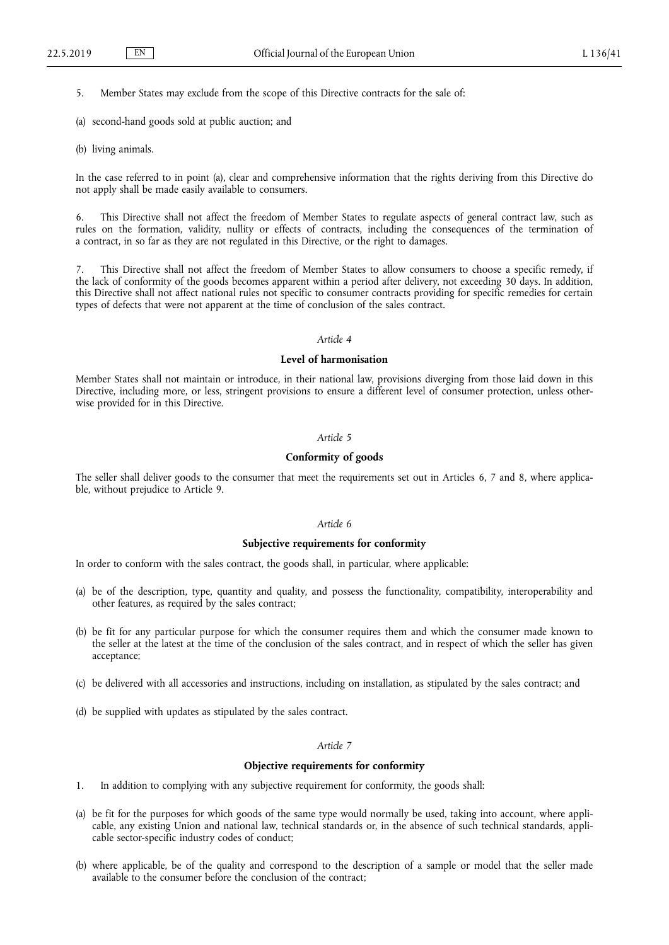5. Member States may exclude from the scope of this Directive contracts for the sale of:

- (a) second-hand goods sold at public auction; and
- (b) living animals.

In the case referred to in point (a), clear and comprehensive information that the rights deriving from this Directive do not apply shall be made easily available to consumers.

6. This Directive shall not affect the freedom of Member States to regulate aspects of general contract law, such as rules on the formation, validity, nullity or effects of contracts, including the consequences of the termination of a contract, in so far as they are not regulated in this Directive, or the right to damages.

This Directive shall not affect the freedom of Member States to allow consumers to choose a specific remedy, if the lack of conformity of the goods becomes apparent within a period after delivery, not exceeding 30 days. In addition, this Directive shall not affect national rules not specific to consumer contracts providing for specific remedies for certain types of defects that were not apparent at the time of conclusion of the sales contract.

### *Article 4*

### **Level of harmonisation**

Member States shall not maintain or introduce, in their national law, provisions diverging from those laid down in this Directive, including more, or less, stringent provisions to ensure a different level of consumer protection, unless otherwise provided for in this Directive.

### *Article 5*

## **Conformity of goods**

The seller shall deliver goods to the consumer that meet the requirements set out in Articles 6, 7 and 8, where applicable, without prejudice to Article 9.

# *Article 6*

### **Subjective requirements for conformity**

In order to conform with the sales contract, the goods shall, in particular, where applicable:

- (a) be of the description, type, quantity and quality, and possess the functionality, compatibility, interoperability and other features, as required by the sales contract;
- (b) be fit for any particular purpose for which the consumer requires them and which the consumer made known to the seller at the latest at the time of the conclusion of the sales contract, and in respect of which the seller has given acceptance;
- (c) be delivered with all accessories and instructions, including on installation, as stipulated by the sales contract; and
- (d) be supplied with updates as stipulated by the sales contract.

#### *Article 7*

### **Objective requirements for conformity**

- 1. In addition to complying with any subjective requirement for conformity, the goods shall:
- (a) be fit for the purposes for which goods of the same type would normally be used, taking into account, where applicable, any existing Union and national law, technical standards or, in the absence of such technical standards, applicable sector-specific industry codes of conduct;
- (b) where applicable, be of the quality and correspond to the description of a sample or model that the seller made available to the consumer before the conclusion of the contract;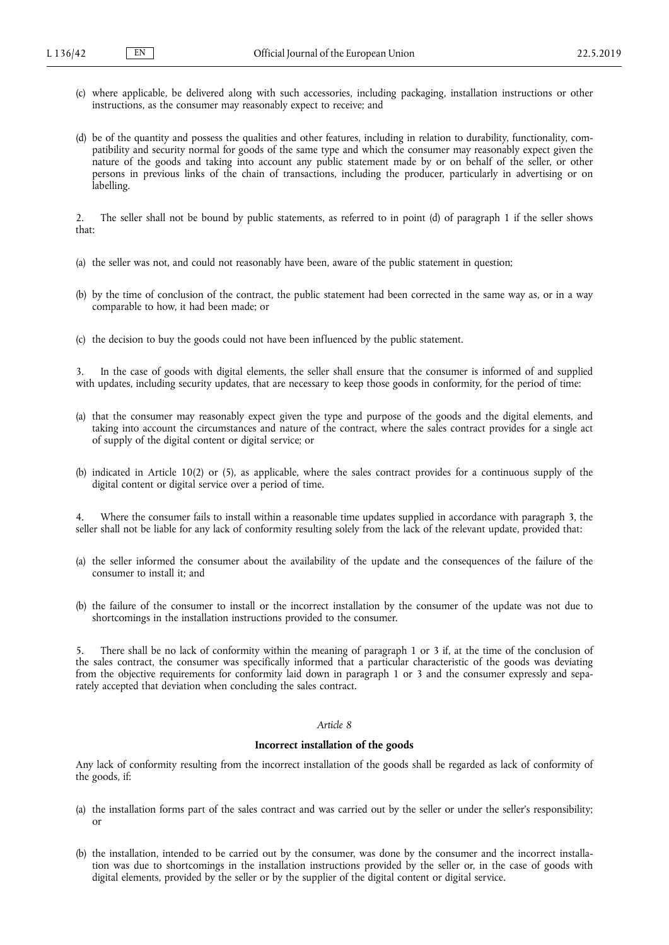- (c) where applicable, be delivered along with such accessories, including packaging, installation instructions or other instructions, as the consumer may reasonably expect to receive; and
- (d) be of the quantity and possess the qualities and other features, including in relation to durability, functionality, compatibility and security normal for goods of the same type and which the consumer may reasonably expect given the nature of the goods and taking into account any public statement made by or on behalf of the seller, or other persons in previous links of the chain of transactions, including the producer, particularly in advertising or on labelling.

2. The seller shall not be bound by public statements, as referred to in point (d) of paragraph 1 if the seller shows that:

- (a) the seller was not, and could not reasonably have been, aware of the public statement in question;
- (b) by the time of conclusion of the contract, the public statement had been corrected in the same way as, or in a way comparable to how, it had been made; or
- (c) the decision to buy the goods could not have been influenced by the public statement.

3. In the case of goods with digital elements, the seller shall ensure that the consumer is informed of and supplied with updates, including security updates, that are necessary to keep those goods in conformity, for the period of time:

- (a) that the consumer may reasonably expect given the type and purpose of the goods and the digital elements, and taking into account the circumstances and nature of the contract, where the sales contract provides for a single act of supply of the digital content or digital service; or
- (b) indicated in Article 10(2) or (5), as applicable, where the sales contract provides for a continuous supply of the digital content or digital service over a period of time.

4. Where the consumer fails to install within a reasonable time updates supplied in accordance with paragraph 3, the seller shall not be liable for any lack of conformity resulting solely from the lack of the relevant update, provided that:

- (a) the seller informed the consumer about the availability of the update and the consequences of the failure of the consumer to install it; and
- (b) the failure of the consumer to install or the incorrect installation by the consumer of the update was not due to shortcomings in the installation instructions provided to the consumer.

5. There shall be no lack of conformity within the meaning of paragraph 1 or 3 if, at the time of the conclusion of the sales contract, the consumer was specifically informed that a particular characteristic of the goods was deviating from the objective requirements for conformity laid down in paragraph 1 or 3 and the consumer expressly and separately accepted that deviation when concluding the sales contract.

#### *Article 8*

### **Incorrect installation of the goods**

Any lack of conformity resulting from the incorrect installation of the goods shall be regarded as lack of conformity of the goods, if:

- (a) the installation forms part of the sales contract and was carried out by the seller or under the seller's responsibility; or
- (b) the installation, intended to be carried out by the consumer, was done by the consumer and the incorrect installation was due to shortcomings in the installation instructions provided by the seller or, in the case of goods with digital elements, provided by the seller or by the supplier of the digital content or digital service.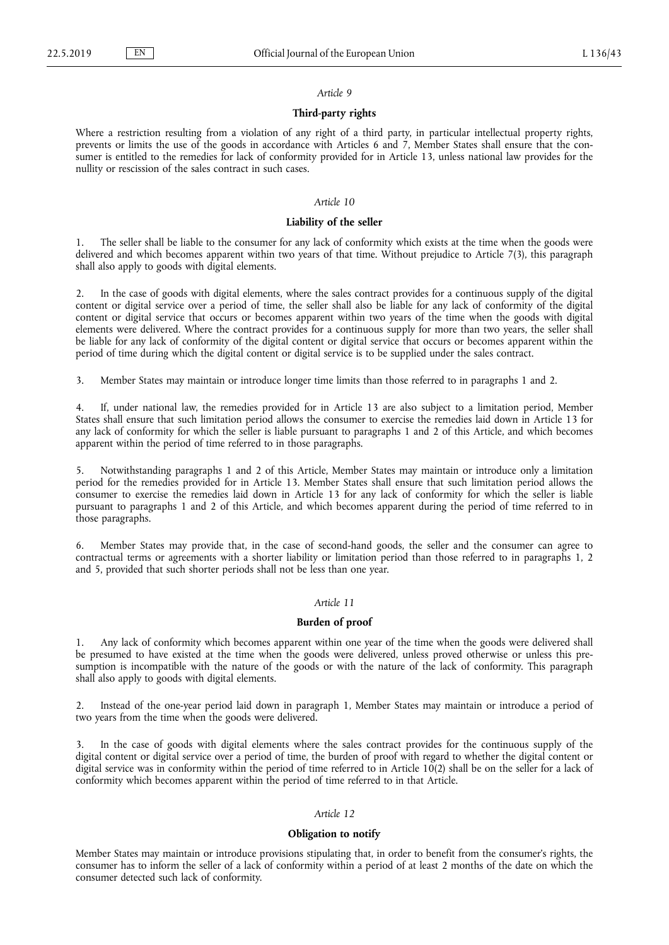### **Third-party rights**

Where a restriction resulting from a violation of any right of a third party, in particular intellectual property rights, prevents or limits the use of the goods in accordance with Articles 6 and 7, Member States shall ensure that the consumer is entitled to the remedies for lack of conformity provided for in Article 13, unless national law provides for the nullity or rescission of the sales contract in such cases.

# *Article 10*

### **Liability of the seller**

1. The seller shall be liable to the consumer for any lack of conformity which exists at the time when the goods were delivered and which becomes apparent within two years of that time. Without prejudice to Article 7(3), this paragraph shall also apply to goods with digital elements.

2. In the case of goods with digital elements, where the sales contract provides for a continuous supply of the digital content or digital service over a period of time, the seller shall also be liable for any lack of conformity of the digital content or digital service that occurs or becomes apparent within two years of the time when the goods with digital elements were delivered. Where the contract provides for a continuous supply for more than two years, the seller shall be liable for any lack of conformity of the digital content or digital service that occurs or becomes apparent within the period of time during which the digital content or digital service is to be supplied under the sales contract.

3. Member States may maintain or introduce longer time limits than those referred to in paragraphs 1 and 2.

4. If, under national law, the remedies provided for in Article 13 are also subject to a limitation period, Member States shall ensure that such limitation period allows the consumer to exercise the remedies laid down in Article 13 for any lack of conformity for which the seller is liable pursuant to paragraphs 1 and 2 of this Article, and which becomes apparent within the period of time referred to in those paragraphs.

5. Notwithstanding paragraphs 1 and 2 of this Article, Member States may maintain or introduce only a limitation period for the remedies provided for in Article 13. Member States shall ensure that such limitation period allows the consumer to exercise the remedies laid down in Article 13 for any lack of conformity for which the seller is liable pursuant to paragraphs 1 and 2 of this Article, and which becomes apparent during the period of time referred to in those paragraphs.

6. Member States may provide that, in the case of second-hand goods, the seller and the consumer can agree to contractual terms or agreements with a shorter liability or limitation period than those referred to in paragraphs 1, 2 and 5, provided that such shorter periods shall not be less than one year.

# *Article 11*

# **Burden of proof**

1. Any lack of conformity which becomes apparent within one year of the time when the goods were delivered shall be presumed to have existed at the time when the goods were delivered, unless proved otherwise or unless this presumption is incompatible with the nature of the goods or with the nature of the lack of conformity. This paragraph shall also apply to goods with digital elements.

2. Instead of the one-year period laid down in paragraph 1, Member States may maintain or introduce a period of two years from the time when the goods were delivered.

3. In the case of goods with digital elements where the sales contract provides for the continuous supply of the digital content or digital service over a period of time, the burden of proof with regard to whether the digital content or digital service was in conformity within the period of time referred to in Article 10(2) shall be on the seller for a lack of conformity which becomes apparent within the period of time referred to in that Article.

### *Article 12*

#### **Obligation to notify**

Member States may maintain or introduce provisions stipulating that, in order to benefit from the consumer's rights, the consumer has to inform the seller of a lack of conformity within a period of at least 2 months of the date on which the consumer detected such lack of conformity.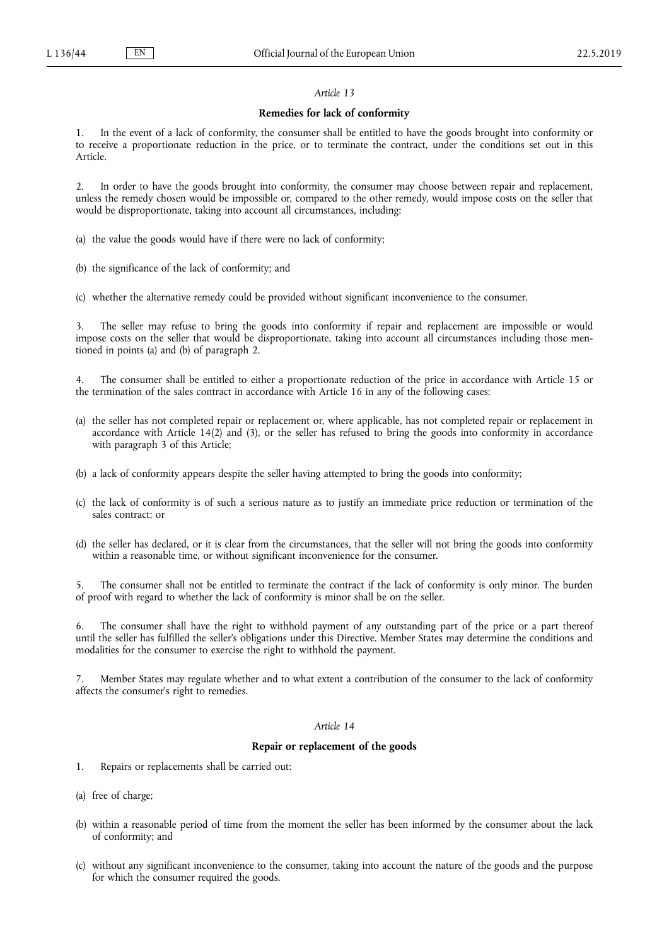#### **Remedies for lack of conformity**

1. In the event of a lack of conformity, the consumer shall be entitled to have the goods brought into conformity or to receive a proportionate reduction in the price, or to terminate the contract, under the conditions set out in this Article.

2. In order to have the goods brought into conformity, the consumer may choose between repair and replacement, unless the remedy chosen would be impossible or, compared to the other remedy, would impose costs on the seller that would be disproportionate, taking into account all circumstances, including:

- (a) the value the goods would have if there were no lack of conformity;
- (b) the significance of the lack of conformity; and
- (c) whether the alternative remedy could be provided without significant inconvenience to the consumer.

3. The seller may refuse to bring the goods into conformity if repair and replacement are impossible or would impose costs on the seller that would be disproportionate, taking into account all circumstances including those mentioned in points (a) and (b) of paragraph 2.

4. The consumer shall be entitled to either a proportionate reduction of the price in accordance with Article 15 or the termination of the sales contract in accordance with Article 16 in any of the following cases:

- (a) the seller has not completed repair or replacement or, where applicable, has not completed repair or replacement in accordance with Article 14(2) and (3), or the seller has refused to bring the goods into conformity in accordance with paragraph 3 of this Article;
- (b) a lack of conformity appears despite the seller having attempted to bring the goods into conformity;
- (c) the lack of conformity is of such a serious nature as to justify an immediate price reduction or termination of the sales contract; or
- (d) the seller has declared, or it is clear from the circumstances, that the seller will not bring the goods into conformity within a reasonable time, or without significant inconvenience for the consumer.

The consumer shall not be entitled to terminate the contract if the lack of conformity is only minor. The burden of proof with regard to whether the lack of conformity is minor shall be on the seller.

6. The consumer shall have the right to withhold payment of any outstanding part of the price or a part thereof until the seller has fulfilled the seller's obligations under this Directive. Member States may determine the conditions and modalities for the consumer to exercise the right to withhold the payment.

Member States may regulate whether and to what extent a contribution of the consumer to the lack of conformity affects the consumer's right to remedies.

#### *Article 14*

### **Repair or replacement of the goods**

- 1. Repairs or replacements shall be carried out:
- (a) free of charge;
- (b) within a reasonable period of time from the moment the seller has been informed by the consumer about the lack of conformity; and
- (c) without any significant inconvenience to the consumer, taking into account the nature of the goods and the purpose for which the consumer required the goods.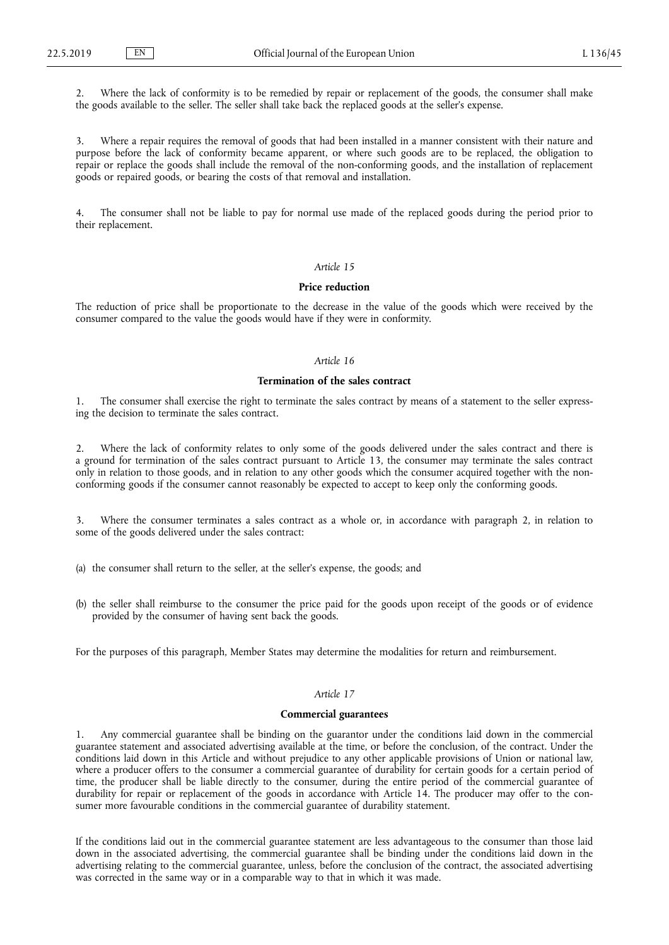2. Where the lack of conformity is to be remedied by repair or replacement of the goods, the consumer shall make the goods available to the seller. The seller shall take back the replaced goods at the seller's expense.

3. Where a repair requires the removal of goods that had been installed in a manner consistent with their nature and purpose before the lack of conformity became apparent, or where such goods are to be replaced, the obligation to repair or replace the goods shall include the removal of the non-conforming goods, and the installation of replacement goods or repaired goods, or bearing the costs of that removal and installation.

The consumer shall not be liable to pay for normal use made of the replaced goods during the period prior to their replacement.

#### *Article 15*

#### **Price reduction**

The reduction of price shall be proportionate to the decrease in the value of the goods which were received by the consumer compared to the value the goods would have if they were in conformity.

# *Article 16*

### **Termination of the sales contract**

1. The consumer shall exercise the right to terminate the sales contract by means of a statement to the seller expressing the decision to terminate the sales contract.

2. Where the lack of conformity relates to only some of the goods delivered under the sales contract and there is a ground for termination of the sales contract pursuant to Article 13, the consumer may terminate the sales contract only in relation to those goods, and in relation to any other goods which the consumer acquired together with the nonconforming goods if the consumer cannot reasonably be expected to accept to keep only the conforming goods.

3. Where the consumer terminates a sales contract as a whole or, in accordance with paragraph 2, in relation to some of the goods delivered under the sales contract:

(a) the consumer shall return to the seller, at the seller's expense, the goods; and

(b) the seller shall reimburse to the consumer the price paid for the goods upon receipt of the goods or of evidence provided by the consumer of having sent back the goods.

For the purposes of this paragraph, Member States may determine the modalities for return and reimbursement.

# *Article 17*

#### **Commercial guarantees**

1. Any commercial guarantee shall be binding on the guarantor under the conditions laid down in the commercial guarantee statement and associated advertising available at the time, or before the conclusion, of the contract. Under the conditions laid down in this Article and without prejudice to any other applicable provisions of Union or national law, where a producer offers to the consumer a commercial guarantee of durability for certain goods for a certain period of time, the producer shall be liable directly to the consumer, during the entire period of the commercial guarantee of durability for repair or replacement of the goods in accordance with Article 14. The producer may offer to the consumer more favourable conditions in the commercial guarantee of durability statement.

If the conditions laid out in the commercial guarantee statement are less advantageous to the consumer than those laid down in the associated advertising, the commercial guarantee shall be binding under the conditions laid down in the advertising relating to the commercial guarantee, unless, before the conclusion of the contract, the associated advertising was corrected in the same way or in a comparable way to that in which it was made.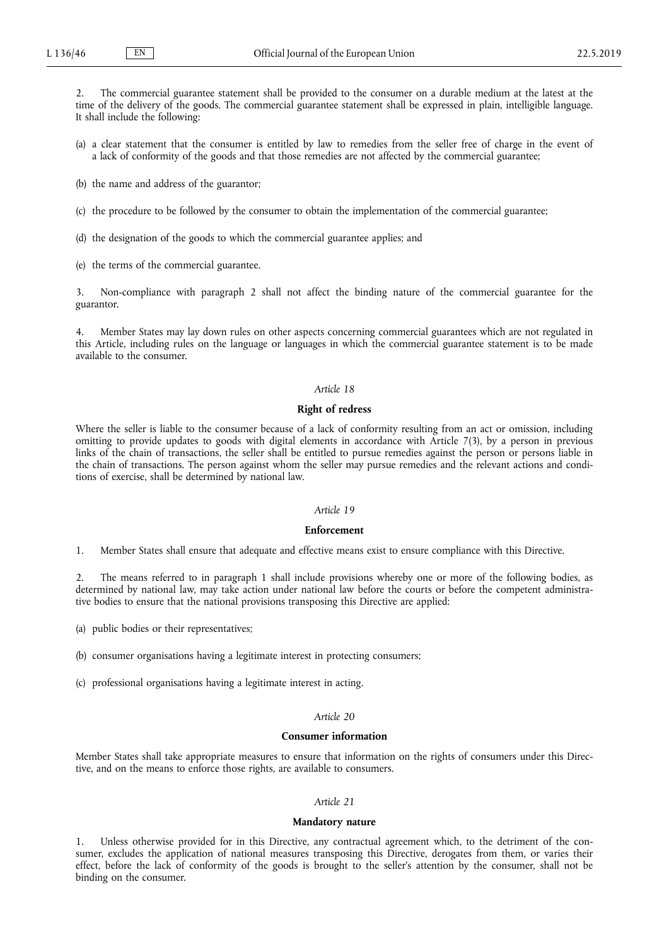2. The commercial guarantee statement shall be provided to the consumer on a durable medium at the latest at the time of the delivery of the goods. The commercial guarantee statement shall be expressed in plain, intelligible language. It shall include the following:

- (a) a clear statement that the consumer is entitled by law to remedies from the seller free of charge in the event of a lack of conformity of the goods and that those remedies are not affected by the commercial guarantee;
- (b) the name and address of the guarantor;
- (c) the procedure to be followed by the consumer to obtain the implementation of the commercial guarantee;
- (d) the designation of the goods to which the commercial guarantee applies; and
- (e) the terms of the commercial guarantee.

3. Non-compliance with paragraph 2 shall not affect the binding nature of the commercial guarantee for the guarantor.

4. Member States may lay down rules on other aspects concerning commercial guarantees which are not regulated in this Article, including rules on the language or languages in which the commercial guarantee statement is to be made available to the consumer.

# *Article 18*

#### **Right of redress**

Where the seller is liable to the consumer because of a lack of conformity resulting from an act or omission, including omitting to provide updates to goods with digital elements in accordance with Article 7(3), by a person in previous links of the chain of transactions, the seller shall be entitled to pursue remedies against the person or persons liable in the chain of transactions. The person against whom the seller may pursue remedies and the relevant actions and conditions of exercise, shall be determined by national law.

## *Article 19*

# **Enforcement**

1. Member States shall ensure that adequate and effective means exist to ensure compliance with this Directive.

2. The means referred to in paragraph 1 shall include provisions whereby one or more of the following bodies, as determined by national law, may take action under national law before the courts or before the competent administrative bodies to ensure that the national provisions transposing this Directive are applied:

(a) public bodies or their representatives;

(b) consumer organisations having a legitimate interest in protecting consumers;

(c) professional organisations having a legitimate interest in acting.

# *Article 20*

### **Consumer information**

Member States shall take appropriate measures to ensure that information on the rights of consumers under this Directive, and on the means to enforce those rights, are available to consumers.

#### *Article 21*

#### **Mandatory nature**

Unless otherwise provided for in this Directive, any contractual agreement which, to the detriment of the consumer, excludes the application of national measures transposing this Directive, derogates from them, or varies their effect, before the lack of conformity of the goods is brought to the seller's attention by the consumer, shall not be binding on the consumer.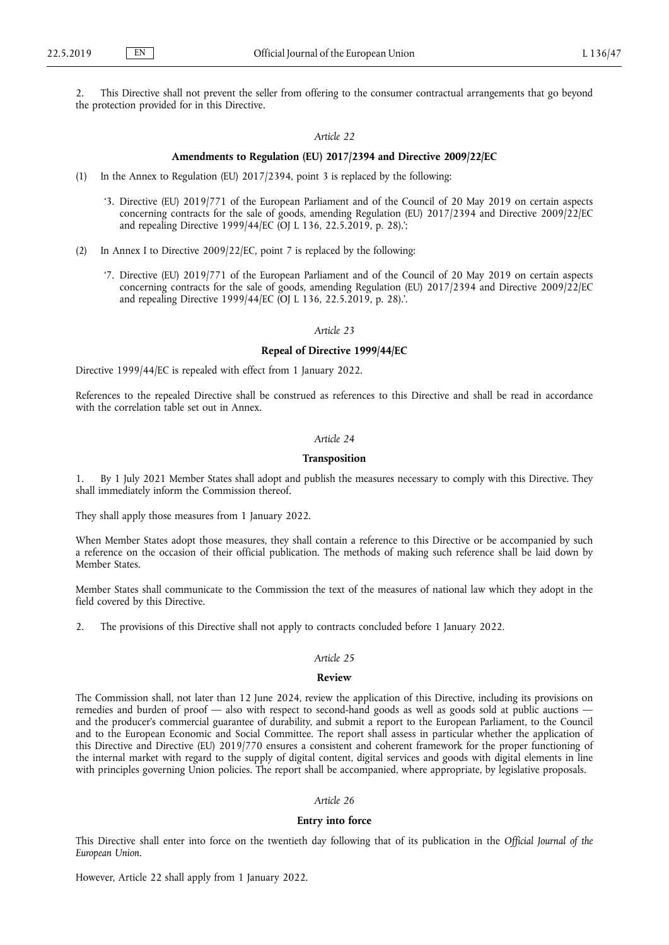2. This Directive shall not prevent the seller from offering to the consumer contractual arrangements that go beyond the protection provided for in this Directive.

# *Article 22*

# **Amendments to Regulation (EU) 2017/2394 and Directive 2009/22/EC**

- (1) In the Annex to Regulation (EU) 2017/2394, point 3 is replaced by the following:
	- '3. Directive (EU) 2019/771 of the European Parliament and of the Council of 20 May 2019 on certain aspects concerning contracts for the sale of goods, amending Regulation (EU) 2017/2394 and Directive 2009/22/EC and repealing Directive 1999/44/EC (OJ L 136, 22.5.2019, p. 28).';
- (2) In Annex I to Directive 2009/22/EC, point 7 is replaced by the following:
	- '7. Directive (EU) 2019/771 of the European Parliament and of the Council of 20 May 2019 on certain aspects concerning contracts for the sale of goods, amending Regulation (EU) 2017/2394 and Directive 2009/22/EC and repealing Directive 1999/44/EC (OJ L 136, 22.5.2019, p. 28).'.

*Article 23*

## **Repeal of Directive 1999/44/EC**

Directive 1999/44/EC is repealed with effect from 1 January 2022.

References to the repealed Directive shall be construed as references to this Directive and shall be read in accordance with the correlation table set out in Annex.

# *Article 24*

### **Transposition**

1. By 1 July 2021 Member States shall adopt and publish the measures necessary to comply with this Directive. They shall immediately inform the Commission thereof.

They shall apply those measures from 1 January 2022.

When Member States adopt those measures, they shall contain a reference to this Directive or be accompanied by such a reference on the occasion of their official publication. The methods of making such reference shall be laid down by Member States.

Member States shall communicate to the Commission the text of the measures of national law which they adopt in the field covered by this Directive.

2. The provisions of this Directive shall not apply to contracts concluded before 1 January 2022.

### *Article 25*

#### **Review**

The Commission shall, not later than 12 June 2024, review the application of this Directive, including its provisions on remedies and burden of proof — also with respect to second-hand goods as well as goods sold at public auctions and the producer's commercial guarantee of durability, and submit a report to the European Parliament, to the Council and to the European Economic and Social Committee. The report shall assess in particular whether the application of this Directive and Directive (EU) 2019/770 ensures a consistent and coherent framework for the proper functioning of the internal market with regard to the supply of digital content, digital services and goods with digital elements in line with principles governing Union policies. The report shall be accompanied, where appropriate, by legislative proposals.

## *Article 26*

# **Entry into force**

This Directive shall enter into force on the twentieth day following that of its publication in the *Official Journal of the European Union*.

However, Article 22 shall apply from 1 January 2022.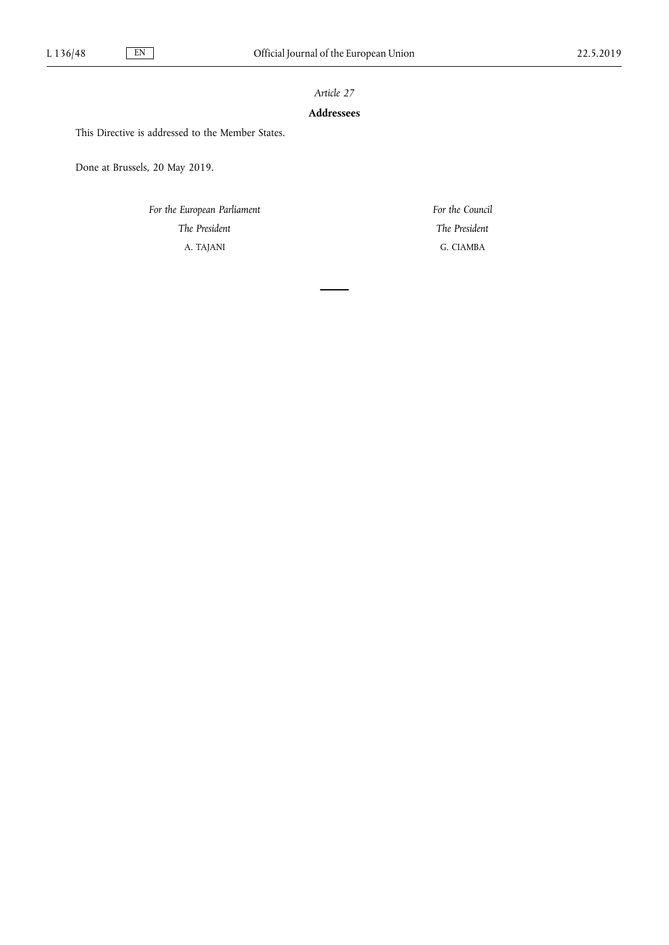# **Addressees**

This Directive is addressed to the Member States.

Done at Brussels, 20 May 2019.

*For the European Parliament The President* A. TAJANI

*For the Council The President* G. CIAMBA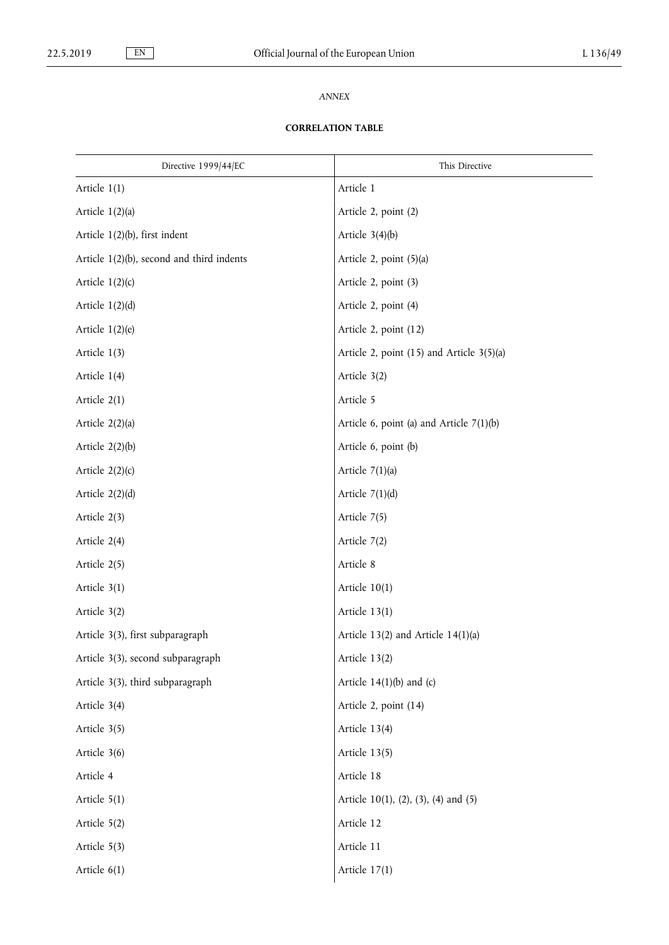# *ANNEX*

# **CORRELATION TABLE**

| Directive 1999/44/EC                         | This Directive                                |
|----------------------------------------------|-----------------------------------------------|
| Article $1(1)$                               | Article 1                                     |
| Article $1(2)(a)$                            | Article 2, point (2)                          |
| Article $1(2)(b)$ , first indent             | Article $3(4)(b)$                             |
| Article $1(2)(b)$ , second and third indents | Article 2, point (5)(a)                       |
| Article $1(2)(c)$                            | Article 2, point (3)                          |
| Article $1(2)(d)$                            | Article 2, point (4)                          |
| Article $1(2)(e)$                            | Article 2, point (12)                         |
| Article $1(3)$                               | Article 2, point $(15)$ and Article $3(5)(a)$ |
| Article 1(4)                                 | Article 3(2)                                  |
| Article 2(1)                                 | Article 5                                     |
| Article $2(2)(a)$                            | Article 6, point (a) and Article $7(1)(b)$    |
| Article $2(2)(b)$                            | Article 6, point (b)                          |
| Article $2(2)(c)$                            | Article $7(1)(a)$                             |
| Article $2(2)(d)$                            | Article $7(1)(d)$                             |
| Article 2(3)                                 | Article 7(5)                                  |
| Article 2(4)                                 | Article 7(2)                                  |
| Article 2(5)                                 | Article 8                                     |
| Article 3(1)                                 | Article $10(1)$                               |
| Article 3(2)                                 | Article 13(1)                                 |
| Article 3(3), first subparagraph             | Article $13(2)$ and Article $14(1)(a)$        |
| Article 3(3), second subparagraph            | Article 13(2)                                 |
| Article 3(3), third subparagraph             | Article $14(1)(b)$ and (c)                    |
| Article 3(4)                                 | Article 2, point (14)                         |
| Article 3(5)                                 | Article 13(4)                                 |
| Article 3(6)                                 | Article 13(5)                                 |
| Article 4                                    | Article 18                                    |
| Article 5(1)                                 | Article 10(1), (2), (3), (4) and (5)          |
| Article 5(2)                                 | Article 12                                    |
| Article 5(3)                                 | Article 11                                    |
| Article 6(1)                                 | Article $17(1)$                               |